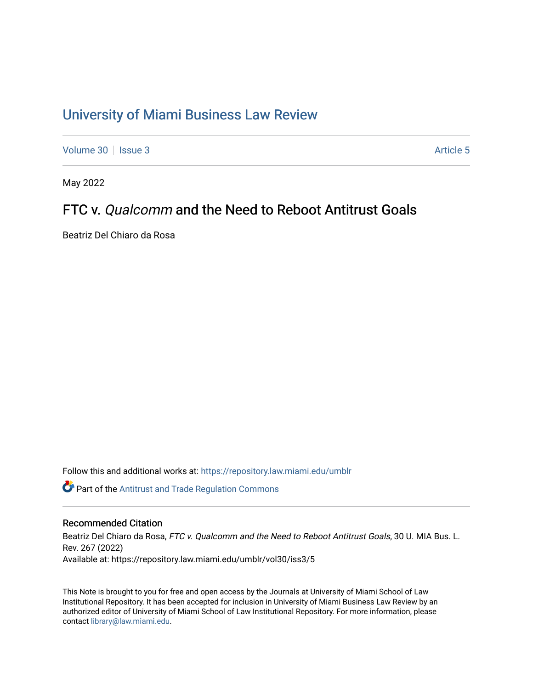# [University of Miami Business Law Review](https://repository.law.miami.edu/umblr)

[Volume 30](https://repository.law.miami.edu/umblr/vol30) | [Issue 3](https://repository.law.miami.edu/umblr/vol30/iss3) Article 5

May 2022

## FTC v. Qualcomm and the Need to Reboot Antitrust Goals

Beatriz Del Chiaro da Rosa

Follow this and additional works at: [https://repository.law.miami.edu/umblr](https://repository.law.miami.edu/umblr?utm_source=repository.law.miami.edu%2Fumblr%2Fvol30%2Fiss3%2F5&utm_medium=PDF&utm_campaign=PDFCoverPages) 

Part of the [Antitrust and Trade Regulation Commons](https://network.bepress.com/hgg/discipline/911?utm_source=repository.law.miami.edu%2Fumblr%2Fvol30%2Fiss3%2F5&utm_medium=PDF&utm_campaign=PDFCoverPages) 

## Recommended Citation

Beatriz Del Chiaro da Rosa, FTC v. Qualcomm and the Need to Reboot Antitrust Goals, 30 U. MIA Bus. L. Rev. 267 (2022) Available at: https://repository.law.miami.edu/umblr/vol30/iss3/5

This Note is brought to you for free and open access by the Journals at University of Miami School of Law Institutional Repository. It has been accepted for inclusion in University of Miami Business Law Review by an authorized editor of University of Miami School of Law Institutional Repository. For more information, please contact [library@law.miami.edu](mailto:library@law.miami.edu).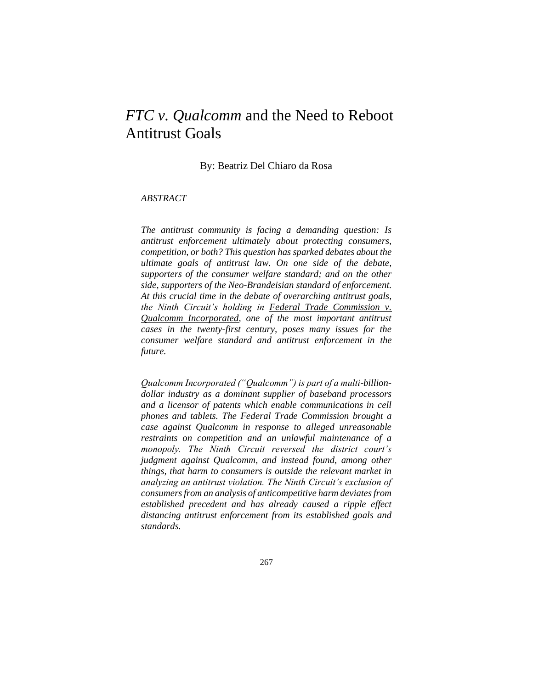## *FTC v. Qualcomm* and the Need to Reboot Antitrust Goals

By: Beatriz Del Chiaro da Rosa

## *ABSTRACT*

*The antitrust community is facing a demanding question: Is antitrust enforcement ultimately about protecting consumers, competition, or both? This question has sparked debates about the ultimate goals of antitrust law. On one side of the debate, supporters of the consumer welfare standard; and on the other side, supporters of the Neo-Brandeisian standard of enforcement. At this crucial time in the debate of overarching antitrust goals, the Ninth Circuit's holding in Federal Trade Commission v. Qualcomm Incorporated, one of the most important antitrust cases in the twenty-first century, poses many issues for the consumer welfare standard and antitrust enforcement in the future.*

*Qualcomm Incorporated ("Qualcomm") is part of a multi-billiondollar industry as a dominant supplier of baseband processors and a licensor of patents which enable communications in cell phones and tablets. The Federal Trade Commission brought a case against Qualcomm in response to alleged unreasonable restraints on competition and an unlawful maintenance of a monopoly. The Ninth Circuit reversed the district court's judgment against Qualcomm, and instead found, among other things, that harm to consumers is outside the relevant market in analyzing an antitrust violation. The Ninth Circuit's exclusion of consumers from an analysis of anticompetitive harm deviates from established precedent and has already caused a ripple effect distancing antitrust enforcement from its established goals and standards.*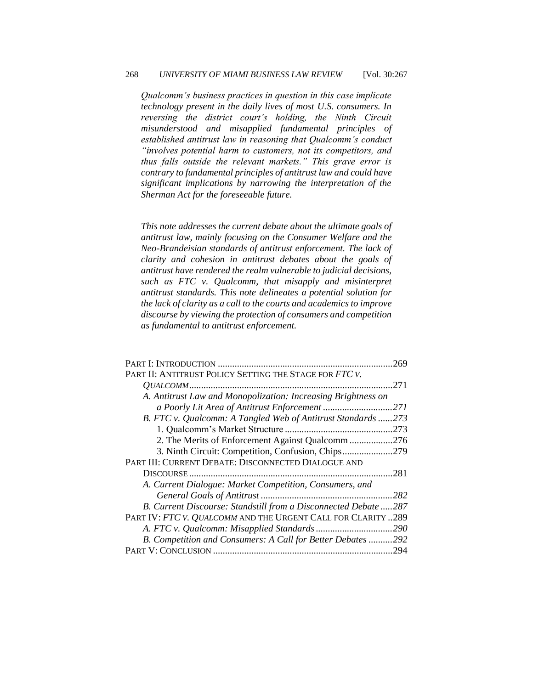*Qualcomm's business practices in question in this case implicate technology present in the daily lives of most U.S. consumers. In reversing the district court's holding, the Ninth Circuit misunderstood and misapplied fundamental principles of established antitrust law in reasoning that Qualcomm's conduct "involves potential harm to customers, not its competitors, and thus falls outside the relevant markets." This grave error is contrary to fundamental principles of antitrust law and could have significant implications by narrowing the interpretation of the Sherman Act for the foreseeable future.*

*This note addresses the current debate about the ultimate goals of antitrust law, mainly focusing on the Consumer Welfare and the Neo-Brandeisian standards of antitrust enforcement. The lack of clarity and cohesion in antitrust debates about the goals of antitrust have rendered the realm vulnerable to judicial decisions, such as FTC v. Qualcomm, that misapply and misinterpret antitrust standards. This note delineates a potential solution for the lack of clarity as a call to the courts and academics to improve discourse by viewing the protection of consumers and competition as fundamental to antitrust enforcement.*

|                                                                 | 269  |
|-----------------------------------------------------------------|------|
| PART II: ANTITRUST POLICY SETTING THE STAGE FOR FTC V.          |      |
| <i>OUALCOMM</i>                                                 | 271  |
| A. Antitrust Law and Monopolization: Increasing Brightness on   |      |
|                                                                 | 271  |
| B. FTC v. Qualcomm: A Tangled Web of Antitrust Standards        | 273  |
|                                                                 | .273 |
| 2. The Merits of Enforcement Against Qualcomm 276               |      |
| 3. Ninth Circuit: Competition, Confusion, Chips                 | .279 |
| PART III: CURRENT DEBATE: DISCONNECTED DIALOGUE AND             |      |
|                                                                 | .281 |
| A. Current Dialogue: Market Competition, Consumers, and         |      |
|                                                                 |      |
| B. Current Discourse: Standstill from a Disconnected Debate 287 |      |
| PART IV: FTC V. QUALCOMM AND THE URGENT CALL FOR CLARITY  289   |      |
|                                                                 |      |
| B. Competition and Consumers: A Call for Better Debates  292    |      |
|                                                                 | .294 |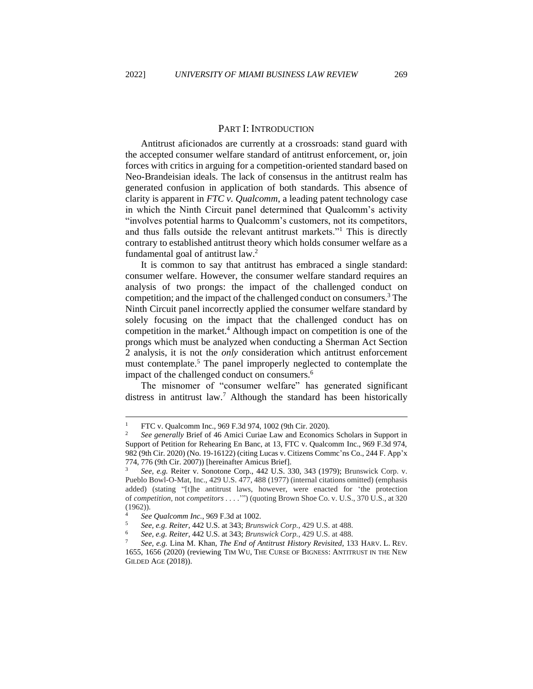#### PART I: INTRODUCTION

<span id="page-3-0"></span>Antitrust aficionados are currently at a crossroads: stand guard with the accepted consumer welfare standard of antitrust enforcement, or, join forces with critics in arguing for a competition-oriented standard based on Neo-Brandeisian ideals. The lack of consensus in the antitrust realm has generated confusion in application of both standards. This absence of clarity is apparent in *FTC v. Qualcomm*, a leading patent technology case in which the Ninth Circuit panel determined that Qualcomm's activity "involves potential harms to Qualcomm's customers, not its competitors, and thus falls outside the relevant antitrust markets."<sup>1</sup> This is directly contrary to established antitrust theory which holds consumer welfare as a fundamental goal of antitrust law.<sup>2</sup>

It is common to say that antitrust has embraced a single standard: consumer welfare. However, the consumer welfare standard requires an analysis of two prongs: the impact of the challenged conduct on competition; and the impact of the challenged conduct on consumers.<sup>3</sup> The Ninth Circuit panel incorrectly applied the consumer welfare standard by solely focusing on the impact that the challenged conduct has on competition in the market.<sup>4</sup> Although impact on competition is one of the prongs which must be analyzed when conducting a Sherman Act Section 2 analysis, it is not the *only* consideration which antitrust enforcement must contemplate.<sup>5</sup> The panel improperly neglected to contemplate the impact of the challenged conduct on consumers.<sup>6</sup>

The misnomer of "consumer welfare" has generated significant distress in antitrust law.<sup>7</sup> Although the standard has been historically

<sup>&</sup>lt;sup>1</sup> FTC v. Qualcomm Inc., 969 F.3d 974, 1002 (9th Cir. 2020).

<sup>2</sup> *See generally* Brief of 46 Amici Curiae Law and Economics Scholars in Support in Support of Petition for Rehearing En Banc, at 13, FTC v. Qualcomm Inc., 969 F.3d 974, 982 (9th Cir. 2020) (No. 19-16122) (citing Lucas v. Citizens Commc'ns Co., 244 F. App'x 774, 776 (9th Cir. 2007)) [hereinafter Amicus Brief].

<sup>3</sup> *See, e.g.* Reiter v. Sonotone Corp., 442 U.S. 330, 343 (1979); Brunswick Corp. v. Pueblo Bowl-O-Mat, Inc., 429 U.S. 477, 488 (1977) (internal citations omitted) (emphasis added) (stating "[t]he antitrust laws, however, were enacted for 'the protection of *competition,* not *competitors . . . .*'") (quoting Brown Shoe Co. v. U.S., 370 U.S., at 320 (1962)).

<sup>4</sup> *See Qualcomm Inc.*, 969 F.3d at 1002.

<sup>5</sup> *See, e.g. Reiter*, 442 U.S. at 343; *Brunswick Corp.*, 429 U.S. at 488.

<sup>6</sup> *See, e.g. Reiter*, 442 U.S. at 343; *Brunswick Corp.*, 429 U.S. at 488.

<sup>7</sup> *See, e.g.* Lina M. Khan, *The End of Antitrust History Revisited*, 133 HARV. L. REV. 1655, 1656 (2020) (reviewing TIM WU, THE CURSE OF BIGNESS: ANTITRUST IN THE NEW GILDED AGE (2018)).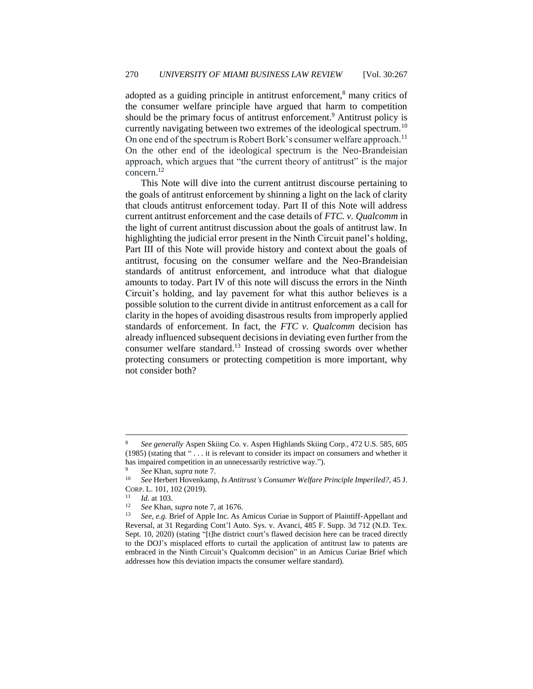adopted as a guiding principle in antitrust enforcement,<sup>8</sup> many critics of the consumer welfare principle have argued that harm to competition should be the primary focus of antitrust enforcement.<sup>9</sup> Antitrust policy is currently navigating between two extremes of the ideological spectrum.<sup>10</sup> On one end of the spectrum is Robert Bork's consumer welfare approach.<sup>11</sup> On the other end of the ideological spectrum is the Neo-Brandeisian approach, which argues that "the current theory of antitrust" is the major concern.<sup>12</sup>

This Note will dive into the current antitrust discourse pertaining to the goals of antitrust enforcement by shinning a light on the lack of clarity that clouds antitrust enforcement today. Part II of this Note will address current antitrust enforcement and the case details of *FTC. v. Qualcomm* in the light of current antitrust discussion about the goals of antitrust law. In highlighting the judicial error present in the Ninth Circuit panel's holding, Part III of this Note will provide history and context about the goals of antitrust, focusing on the consumer welfare and the Neo-Brandeisian standards of antitrust enforcement, and introduce what that dialogue amounts to today. Part IV of this note will discuss the errors in the Ninth Circuit's holding, and lay pavement for what this author believes is a possible solution to the current divide in antitrust enforcement as a call for clarity in the hopes of avoiding disastrous results from improperly applied standards of enforcement. In fact, the *FTC v. Qualcomm* decision has already influenced subsequent decisions in deviating even further from the consumer welfare standard.<sup>13</sup> Instead of crossing swords over whether protecting consumers or protecting competition is more important, why not consider both?

<sup>8</sup> *See generally* Aspen Skiing Co. v. Aspen Highlands Skiing Corp., 472 U.S. 585, 605 (1985) (stating that " . . . it is relevant to consider its impact on consumers and whether it has impaired competition in an unnecessarily restrictive way.").

<sup>&</sup>lt;sup>9</sup> *See* Khan, *supra* note 7.

<sup>10</sup> *See* Herbert Hovenkamp, *Is Antitrust's Consumer Welfare Principle Imperiled?*, 45 J. CORP. L. 101, 102 (2019).

 $\frac{11}{12}$  *Id.* at 103.

<sup>12</sup> *See* Khan, *supra* note 7, at 1676.

<sup>13</sup> *See, e.g.* Brief of Apple Inc. As Amicus Curiae in Support of Plaintiff-Appellant and Reversal, at 31 Regarding Cont'l Auto. Sys. v. Avanci, 485 F. Supp. 3d 712 (N.D. Tex. Sept. 10, 2020) (stating "[t]he district court's flawed decision here can be traced directly to the DOJ's misplaced efforts to curtail the application of antitrust law to patents are embraced in the Ninth Circuit's Qualcomm decision" in an Amicus Curiae Brief which addresses how this deviation impacts the consumer welfare standard).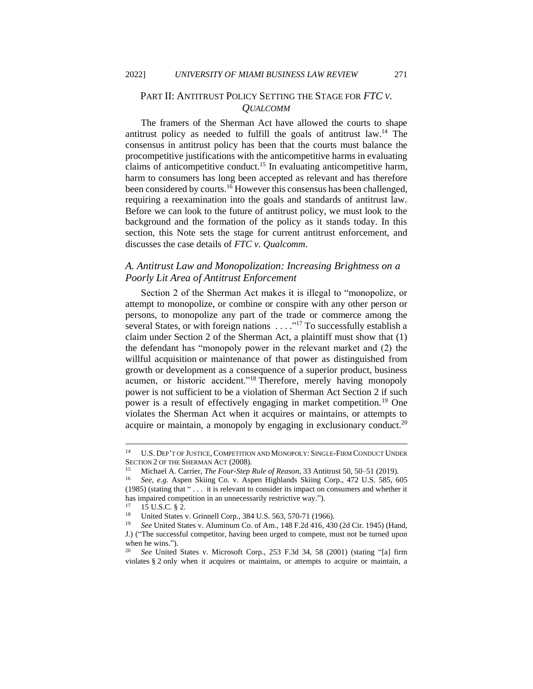## <span id="page-5-0"></span>PART II: ANTITRUST POLICY SETTING THE STAGE FOR *FTC V. QUALCOMM*

The framers of the Sherman Act have allowed the courts to shape antitrust policy as needed to fulfill the goals of antitrust law.<sup>14</sup> The consensus in antitrust policy has been that the courts must balance the procompetitive justifications with the anticompetitive harms in evaluating claims of anticompetitive conduct.<sup>15</sup> In evaluating anticompetitive harm, harm to consumers has long been accepted as relevant and has therefore been considered by courts.<sup>16</sup> However this consensus has been challenged, requiring a reexamination into the goals and standards of antitrust law. Before we can look to the future of antitrust policy, we must look to the background and the formation of the policy as it stands today. In this section, this Note sets the stage for current antitrust enforcement, and discusses the case details of *FTC v. Qualcomm*.

## <span id="page-5-1"></span>*A. Antitrust Law and Monopolization: Increasing Brightness on a Poorly Lit Area of Antitrust Enforcement*

Section 2 of the Sherman Act makes it is illegal to "monopolize, or attempt to monopolize, or combine or conspire with any other person or persons, to monopolize any part of the trade or commerce among the several States, or with foreign nations . . . . "<sup>17</sup> To successfully establish a claim under Section 2 of the Sherman Act, a plaintiff must show that (1) the defendant has "monopoly power in the relevant market and (2) the willful acquisition or maintenance of that power as distinguished from growth or development as a consequence of a superior product, business acumen, or historic accident."<sup>18</sup> Therefore, merely having monopoly power is not sufficient to be a violation of Sherman Act Section 2 if such power is a result of effectively engaging in market competition.<sup>19</sup> One violates the Sherman Act when it acquires or maintains, or attempts to acquire or maintain, a monopoly by engaging in exclusionary conduct.<sup>20</sup>

<sup>&</sup>lt;sup>14</sup> U.S. DEP'T OF JUSTICE, COMPETITION AND MONOPOLY: SINGLE-FIRM CONDUCT UNDER SECTION 2 OF THE SHERMAN ACT (2008).

<sup>15</sup> Michael A. Carrier, *The Four-Step Rule of Reason*, 33 Antitrust 50, 50–51 (2019).

<sup>16</sup> *See, e.g.* Aspen Skiing Co. v. Aspen Highlands Skiing Corp., 472 U.S. 585, 605 (1985) (stating that " . . . it is relevant to consider its impact on consumers and whether it has impaired competition in an unnecessarily restrictive way.").

 $^{17}$  15 U.S.C. § 2.

<sup>&</sup>lt;sup>18</sup> United States v. Grinnell Corp., 384 U.S. 563, 570-71 (1966).<br><sup>19</sup> See United States v. Aluminum Co. of Am. 148 E 2d 416, 430

<sup>19</sup> *See* United States v. Aluminum Co. of Am., 148 F.2d 416, 430 (2d Cir. 1945) (Hand, J.) ("The successful competitor, having been urged to compete, must not be turned upon when he wins.").

<sup>20</sup> *See* United States v. Microsoft Corp., 253 F.3d 34, 58 (2001) (stating "[a] firm violates § 2 only when it acquires or maintains, or attempts to acquire or maintain, a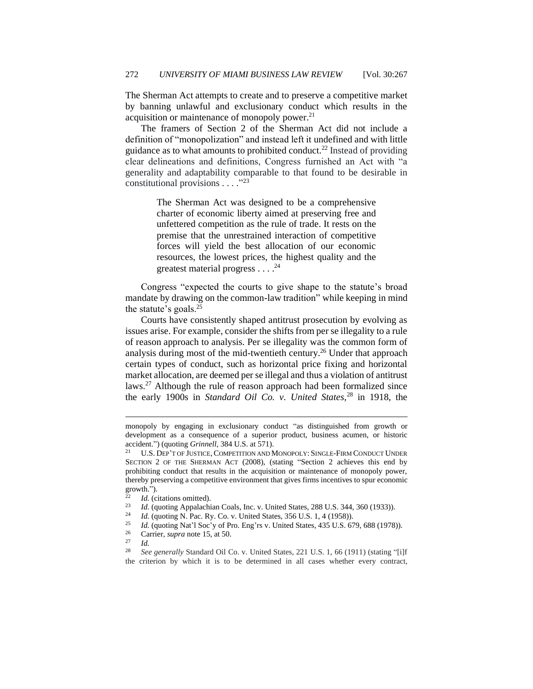The Sherman Act attempts to create and to preserve a competitive market by banning unlawful and exclusionary conduct which results in the acquisition or maintenance of monopoly power.<sup>21</sup>

The framers of Section 2 of the Sherman Act did not include a definition of "monopolization" and instead left it undefined and with little guidance as to what amounts to prohibited conduct.<sup>22</sup> Instead of providing clear delineations and definitions, Congress furnished an Act with "a generality and adaptability comparable to that found to be desirable in constitutional provisions  $\ldots$ ."<sup>23</sup>

> The Sherman Act was designed to be a comprehensive charter of economic liberty aimed at preserving free and unfettered competition as the rule of trade. It rests on the premise that the unrestrained interaction of competitive forces will yield the best allocation of our economic resources, the lowest prices, the highest quality and the greatest material progress . . . .<sup>24</sup>

Congress "expected the courts to give shape to the statute's broad mandate by drawing on the common-law tradition" while keeping in mind the statute's goals.<sup>25</sup>

Courts have consistently shaped antitrust prosecution by evolving as issues arise. For example, consider the shifts from per se illegality to a rule of reason approach to analysis. Per se illegality was the common form of analysis during most of the mid-twentieth century.<sup>26</sup> Under that approach certain types of conduct, such as horizontal price fixing and horizontal market allocation, are deemed per se illegal and thus a violation of antitrust laws.<sup>27</sup> Although the rule of reason approach had been formalized since the early 1900s in *Standard Oil Co. v. United States,*<sup>28</sup> in 1918, the

- <sup>25</sup> *Id.* (quoting Nat'l Soc'y of Pro. Eng'rs v. United States, 435 U.S. 679, 688 (1978)).<br><sup>26</sup> Carrier, sunga pote 15, at 50
- <sup>26</sup> Carrier, *supra* note 15, at 50.<br><sup>27</sup> Id
- $\frac{27}{28}$  *Id.*

<sup>28</sup> *See generally* Standard Oil Co. v. United States, 221 U.S. 1, 66 (1911) (stating "[i]f the criterion by which it is to be determined in all cases whether every contract,

monopoly by engaging in exclusionary conduct "as distinguished from growth or development as a consequence of a superior product, business acumen, or historic accident.") (quoting *Grinnell*, 384 U.S. at 571).

U.S. DEP'T OF JUSTICE, COMPETITION AND MONOPOLY: SINGLE-FIRM CONDUCT UNDER SECTION 2 OF THE SHERMAN ACT (2008), (stating "Section 2 achieves this end by prohibiting conduct that results in the acquisition or maintenance of monopoly power, thereby preserving a competitive environment that gives firms incentives to spur economic growth.").

 $\frac{22}{23}$  *Id.* (citations omitted).

<sup>&</sup>lt;sup>23</sup> *Id.* (quoting Appalachian Coals, Inc. v. United States, 288 U.S. 344, 360 (1933)).<br><sup>24</sup> *Id.* (quoting N. Pac. Py. Co. v. United States, 356 U.S. 1, 4 (1958)).

<sup>&</sup>lt;sup>24</sup> *Id.* (quoting N. Pac. Ry. Co. v. United States, 356 U.S. 1, 4 (1958)).<br><sup>25</sup> *Id.* (quoting Nat'l Soc'y of Pro-Eng'rs y. United States, 435 U.S. 65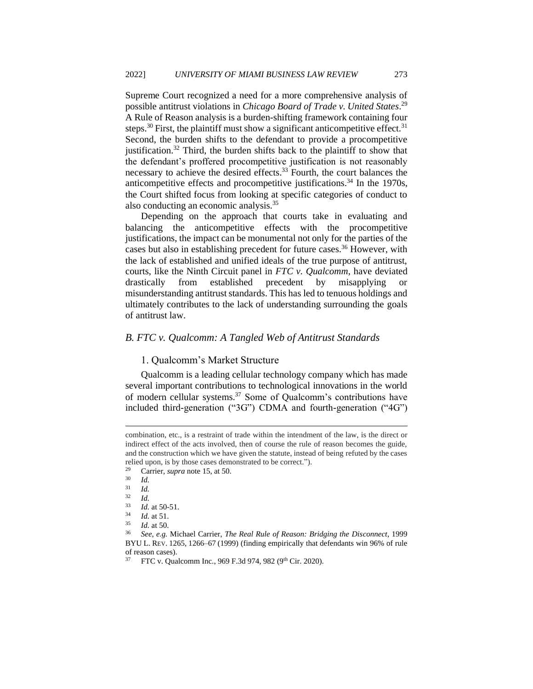Supreme Court recognized a need for a more comprehensive analysis of possible antitrust violations in *Chicago Board of Trade v. United States*. 29 A Rule of Reason analysis is a burden-shifting framework containing four steps.<sup>30</sup> First, the plaintiff must show a significant anticompetitive effect.<sup>31</sup> Second, the burden shifts to the defendant to provide a procompetitive justification.<sup>32</sup> Third, the burden shifts back to the plaintiff to show that the defendant's proffered procompetitive justification is not reasonably necessary to achieve the desired effects.<sup>33</sup> Fourth, the court balances the anticompetitive effects and procompetitive justifications.<sup>34</sup> In the 1970s, the Court shifted focus from looking at specific categories of conduct to also conducting an economic analysis.<sup>35</sup>

Depending on the approach that courts take in evaluating and balancing the anticompetitive effects with the procompetitive justifications, the impact can be monumental not only for the parties of the cases but also in establishing precedent for future cases.<sup>36</sup> However, with the lack of established and unified ideals of the true purpose of antitrust, courts, like the Ninth Circuit panel in *FTC v. Qualcomm*, have deviated drastically from established precedent by misapplying or misunderstanding antitrust standards. This has led to tenuous holdings and ultimately contributes to the lack of understanding surrounding the goals of antitrust law.

#### <span id="page-7-1"></span><span id="page-7-0"></span>*B. FTC v. Qualcomm: A Tangled Web of Antitrust Standards*

#### 1. Qualcomm's Market Structure

Qualcomm is a leading cellular technology company which has made several important contributions to technological innovations in the world of modern cellular systems.<sup>37</sup> Some of Qualcomm's contributions have included third-generation ("3G") CDMA and fourth-generation ("4G")

combination, etc., is a restraint of trade within the intendment of the law, is the direct or indirect effect of the acts involved, then of course the rule of reason becomes the guide, and the construction which we have given the statute, instead of being refuted by the cases relied upon, is by those cases demonstrated to be correct.").

<sup>&</sup>lt;sup>29</sup> Carrier, *supra* note 15, at 50.

 $\frac{30}{31}$  *Id.* 

 $rac{31}{32}$  *Id.* 

 $rac{32}{33}$  *Id.* 

 $\frac{33}{34}$  *Id.* at 50-51.

 $\frac{34}{35}$  *Id.* at 51.

 $\frac{35}{36}$  *Id.* at 50.

<sup>36</sup> *See, e.g.* Michael Carrier, *The Real Rule of Reason: Bridging the Disconnect*, 1999 BYU L. REV. 1265, 1266–67 (1999) (finding empirically that defendants win 96% of rule of reason cases).

FTC v. Qualcomm Inc., 969 F.3d 974, 982 (9<sup>th</sup> Cir. 2020).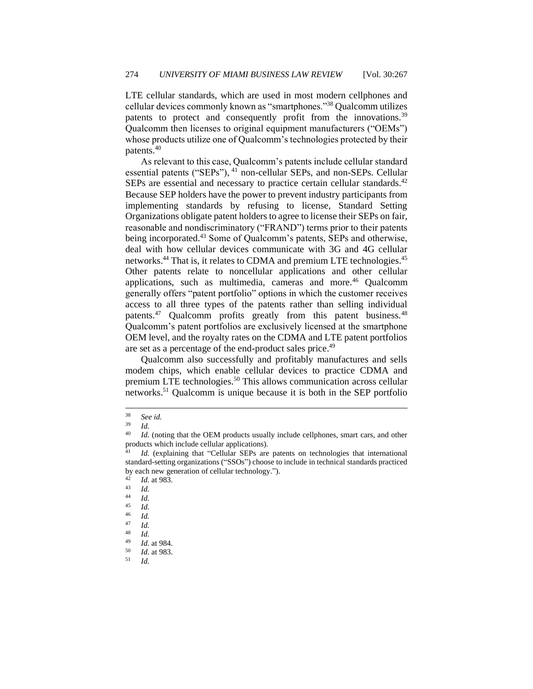LTE cellular standards, which are used in most modern cellphones and cellular devices commonly known as "smartphones."<sup>38</sup> Qualcomm utilizes patents to protect and consequently profit from the innovations.<sup>39</sup> Qualcomm then licenses to original equipment manufacturers ("OEMs") whose products utilize one of Qualcomm's technologies protected by their patents.<sup>40</sup>

As relevant to this case, Qualcomm's patents include cellular standard essential patents ("SEPs"), <sup>41</sup> non-cellular SEPs, and non-SEPs. Cellular SEPs are essential and necessary to practice certain cellular standards.<sup>42</sup> Because SEP holders have the power to prevent industry participants from implementing standards by refusing to license, Standard Setting Organizations obligate patent holders to agree to license their SEPs on fair, reasonable and nondiscriminatory ("FRAND") terms prior to their patents being incorporated.<sup>43</sup> Some of Qualcomm's patents, SEPs and otherwise, deal with how cellular devices communicate with 3G and 4G cellular networks.<sup>44</sup> That is, it relates to CDMA and premium LTE technologies.<sup>45</sup> Other patents relate to noncellular applications and other cellular applications, such as multimedia, cameras and more.<sup>46</sup> Qualcomm generally offers "patent portfolio" options in which the customer receives access to all three types of the patents rather than selling individual patents.<sup>47</sup> Qualcomm profits greatly from this patent business.<sup>48</sup> Qualcomm's patent portfolios are exclusively licensed at the smartphone OEM level, and the royalty rates on the CDMA and LTE patent portfolios are set as a percentage of the end-product sales price.<sup>49</sup>

Qualcomm also successfully and profitably manufactures and sells modem chips, which enable cellular devices to practice CDMA and premium LTE technologies.<sup>50</sup> This allows communication across cellular networks.<sup>51</sup> Qualcomm is unique because it is both in the SEP portfolio

<sup>38</sup> *See id.*

 $\frac{39}{40}$  *Id.* 

Id. (noting that the OEM products usually include cellphones, smart cars, and other products which include cellular applications)*.*

Id. (explaining that "Cellular SEPs are patents on technologies that international standard-setting organizations ("SSOs") choose to include in technical standards practiced by each new generation of cellular technology.").<br> $^{42}$   $\frac{Id}{d}$  at 082

 $\frac{42}{43}$  *Id.* at 983.

 $\frac{43}{44}$  *Id.* 

 $\frac{44}{45}$  *Id.* 

 $\frac{45}{46}$  *Id.* 

 $\frac{46}{47}$  *Id.* 

 $\frac{47}{48}$  *Id.* 

 $\frac{48}{49}$  *Id.* 

 $\frac{49}{50}$  *Id.* at 984. <sup>50</sup> *Id.* at 983.

<sup>51</sup> *Id.*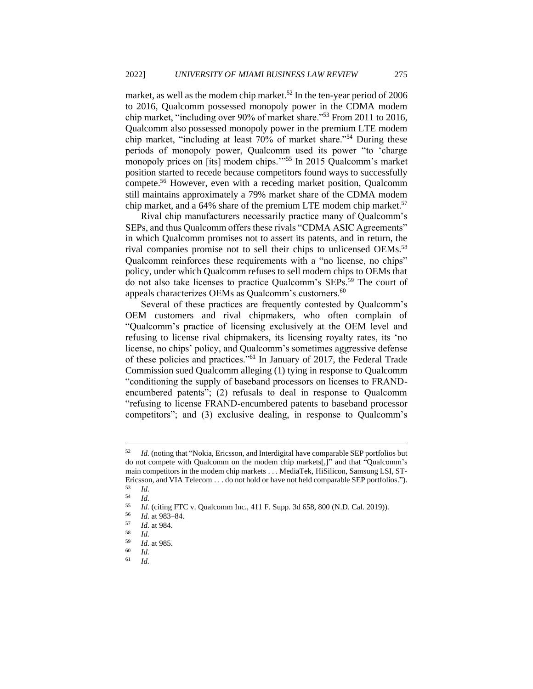market, as well as the modem chip market.<sup>52</sup> In the ten-year period of 2006 to 2016, Qualcomm possessed monopoly power in the CDMA modem chip market, "including over 90% of market share."<sup>53</sup> From 2011 to 2016, Qualcomm also possessed monopoly power in the premium LTE modem chip market, "including at least 70% of market share."<sup>54</sup> During these periods of monopoly power, Qualcomm used its power "to 'charge monopoly prices on [its] modem chips."<sup>55</sup> In 2015 Qualcomm's market position started to recede because competitors found ways to successfully compete.<sup>56</sup> However, even with a receding market position, Qualcomm still maintains approximately a 79% market share of the CDMA modem chip market, and a 64% share of the premium LTE modem chip market.<sup>57</sup>

Rival chip manufacturers necessarily practice many of Qualcomm's SEPs, and thus Qualcomm offers these rivals "CDMA ASIC Agreements" in which Qualcomm promises not to assert its patents, and in return, the rival companies promise not to sell their chips to unlicensed OEMs.<sup>58</sup> Qualcomm reinforces these requirements with a "no license, no chips" policy, under which Qualcomm refuses to sell modem chips to OEMs that do not also take licenses to practice Qualcomm's SEPs.<sup>59</sup> The court of appeals characterizes OEMs as Qualcomm's customers.<sup>60</sup>

Several of these practices are frequently contested by Qualcomm's OEM customers and rival chipmakers, who often complain of "Qualcomm's practice of licensing exclusively at the OEM level and refusing to license rival chipmakers, its licensing royalty rates, its 'no license, no chips' policy, and Qualcomm's sometimes aggressive defense of these policies and practices."<sup>61</sup> In January of 2017, the Federal Trade Commission sued Qualcomm alleging (1) tying in response to Qualcomm "conditioning the supply of baseband processors on licenses to FRANDencumbered patents"; (2) refusals to deal in response to Qualcomm "refusing to license FRAND-encumbered patents to baseband processor competitors"; and (3) exclusive dealing, in response to Qualcomm's

<sup>52</sup> *Id.* (noting that "Nokia, Ericsson, and Interdigital have comparable SEP portfolios but do not compete with Qualcomm on the modem chip markets[,]" and that "Qualcomm's main competitors in the modem chip markets . . . MediaTek, HiSilicon, Samsung LSI, ST-Ericsson, and VIA Telecom . . . do not hold or have not held comparable SEP portfolios.").

 $\begin{array}{cc} 53 & Id. \\ 54 & Id. \end{array}$ 

 $\frac{54}{55}$  *Id.* 

<sup>&</sup>lt;sup>55</sup> *Id.* (citing FTC v. Qualcomm Inc., 411 F. Supp. 3d 658, 800 (N.D. Cal. 2019)).

 $\frac{56}{57}$  *Id.* at 983–84.

<sup>57</sup> *Id.* at 984.

 $\frac{58}{59}$  *Id.* 

 $\frac{59}{60}$  *Id.* at 985.

 $\begin{array}{cc} 60 & Id. \\ 61 & Id. \end{array}$ <sup>61</sup> *Id.*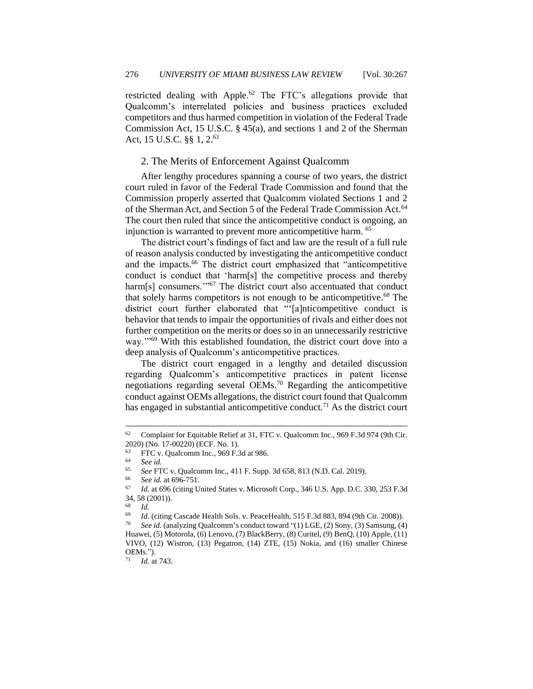restricted dealing with Apple.<sup>62</sup> The FTC's allegations provide that Qualcomm's interrelated policies and business practices excluded competitors and thus harmed competition in violation of the Federal Trade Commission Act, 15 U.S.C. § 45(a), and sections 1 and 2 of the Sherman Act, 15 U.S.C. §§ 1, 2.<sup>63</sup>

#### <span id="page-10-0"></span>2. The Merits of Enforcement Against Qualcomm

After lengthy procedures spanning a course of two years, the district court ruled in favor of the Federal Trade Commission and found that the Commission properly asserted that Qualcomm violated Sections 1 and 2 of the Sherman Act, and Section 5 of the Federal Trade Commission Act.<sup>64</sup> The court then ruled that since the anticompetitive conduct is ongoing, an injunction is warranted to prevent more anticompetitive harm. <sup>65</sup>

The district court's findings of fact and law are the result of a full rule of reason analysis conducted by investigating the anticompetitive conduct and the impacts.<sup>66</sup> The district court emphasized that "anticompetitive conduct is conduct that 'harm[s] the competitive process and thereby harm[s] consumers."<sup>67</sup> The district court also accentuated that conduct that solely harms competitors is not enough to be anticompetitive.<sup>68</sup> The district court further elaborated that "'[a]nticompetitive conduct is behavior that tends to impair the opportunities of rivals and either does not further competition on the merits or does so in an unnecessarily restrictive way.'"<sup>69</sup> With this established foundation, the district court dove into a deep analysis of Qualcomm's anticompetitive practices.

The district court engaged in a lengthy and detailed discussion regarding Qualcomm's anticompetitive practices in patent license negotiations regarding several OEMs.<sup>70</sup> Regarding the anticompetitive conduct against OEMs allegations, the district court found that Qualcomm has engaged in substantial anticompetitive conduct.<sup>71</sup> As the district court

 $\frac{68}{69}$  *Id.* 

<sup>62</sup> Complaint for Equitable Relief at 31, FTC v. Qualcomm Inc*.*, 969 F.3d 974 (9th Cir. 2020) (No. 17-00220) (ECF. No. 1).

 $FTC$  v. Qualcomm Inc., 969 F.3d at 986.

<sup>64</sup> *See id.*

<sup>65</sup> *See* FTC v. Qualcomm Inc., 411 F. Supp. 3d 658, 813 (N.D. Cal. 2019).

<sup>66</sup> *See id.* at 696-751.

*Id.* at 696 (citing United States v. Microsoft Corp., 346 U.S. App. D.C. 330, 253 F.3d 34, 58 (2001)).

<sup>&</sup>lt;sup>69</sup> *Id.* (citing Cascade Health Sols. v. PeaceHealth, 515 F.3d 883, 894 (9th Cir. 2008)).<br><sup>70</sup> See id. (analyzing Qualcomm's conduct toward "(1) LGE. (2) Sony. (3) Samsung (4)

*See id.* (analyzing Qualcomm's conduct toward "(1) LGE, (2) Sony, (3) Samsung, (4) Huawei, (5) Motorola, (6) Lenovo, (7) BlackBerry, (8) Curitel, (9) BenQ, (10) Apple, (11) VIVO, (12) Wistron, (13) Pegatron, (14) ZTE, (15) Nokia, and (16) smaller Chinese OEMs.").

<sup>71</sup> *Id.* at 743.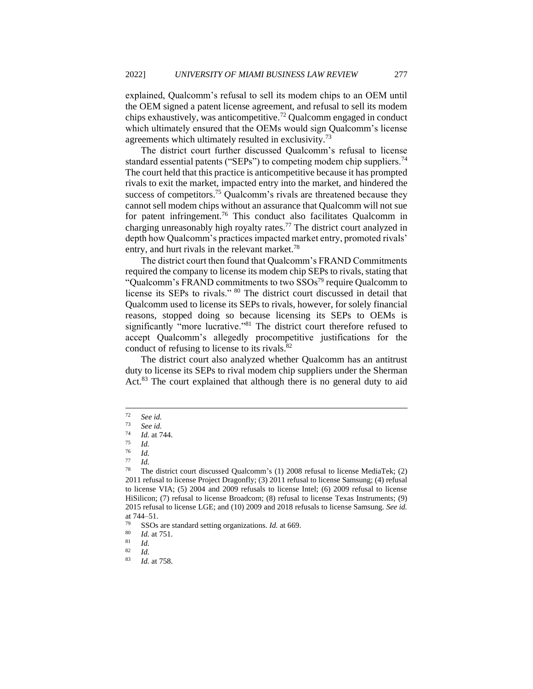explained, Qualcomm's refusal to sell its modem chips to an OEM until the OEM signed a patent license agreement, and refusal to sell its modem chips exhaustively, was anticompetitive.<sup>72</sup> Qualcomm engaged in conduct which ultimately ensured that the OEMs would sign Qualcomm's license agreements which ultimately resulted in exclusivity.<sup>73</sup>

The district court further discussed Qualcomm's refusal to license standard essential patents ("SEPs") to competing modem chip suppliers.<sup>74</sup> The court held that this practice is anticompetitive because it has prompted rivals to exit the market, impacted entry into the market, and hindered the success of competitors.<sup>75</sup> Qualcomm's rivals are threatened because they cannot sell modem chips without an assurance that Qualcomm will not sue for patent infringement.<sup>76</sup> This conduct also facilitates Qualcomm in charging unreasonably high royalty rates.<sup>77</sup> The district court analyzed in depth how Qualcomm's practices impacted market entry, promoted rivals' entry, and hurt rivals in the relevant market.<sup>78</sup>

The district court then found that Qualcomm's FRAND Commitments required the company to license its modem chip SEPs to rivals, stating that "Qualcomm's FRAND commitments to two  $SSOs^{79}$  require Qualcomm to license its SEPs to rivals." <sup>80</sup> The district court discussed in detail that Qualcomm used to license its SEPs to rivals, however, for solely financial reasons, stopped doing so because licensing its SEPs to OEMs is significantly "more lucrative."<sup>81</sup> The district court therefore refused to accept Qualcomm's allegedly procompetitive justifications for the conduct of refusing to license to its rivals.<sup>82</sup>

The district court also analyzed whether Qualcomm has an antitrust duty to license its SEPs to rival modem chip suppliers under the Sherman Act.<sup>83</sup> The court explained that although there is no general duty to aid

 $72$  *See id.*<br> $73$  *See id.* 

 $\frac{73}{74}$  *See id.* 

 $\frac{74}{75}$  *Id.* at 744.

<sup>75</sup> *Id.*

 $rac{76}{77}$  *Id.* 

 $\frac{77}{78}$  *Id.* 

<sup>78</sup> The district court discussed Qualcomm's (1) 2008 refusal to license MediaTek; (2) 2011 refusal to license Project Dragonfly; (3) 2011 refusal to license Samsung; (4) refusal to license VIA; (5) 2004 and 2009 refusals to license Intel; (6) 2009 refusal to license HiSilicon; (7) refusal to license Broadcom; (8) refusal to license Texas Instruments; (9) 2015 refusal to license LGE; and (10) 2009 and 2018 refusals to license Samsung. *See id.* at 744–51.<br> $\frac{79}{19}$  ssos

<sup>79</sup> SSOs are standard setting organizations. *Id.* at 669.<br> $\frac{80}{L}$  at 751

 $\frac{80}{81}$  *Id.* at 751.

 $\frac{81}{82}$  *Id.* 

 $\frac{82}{83}$  *Id.* 

*Id.* at 758.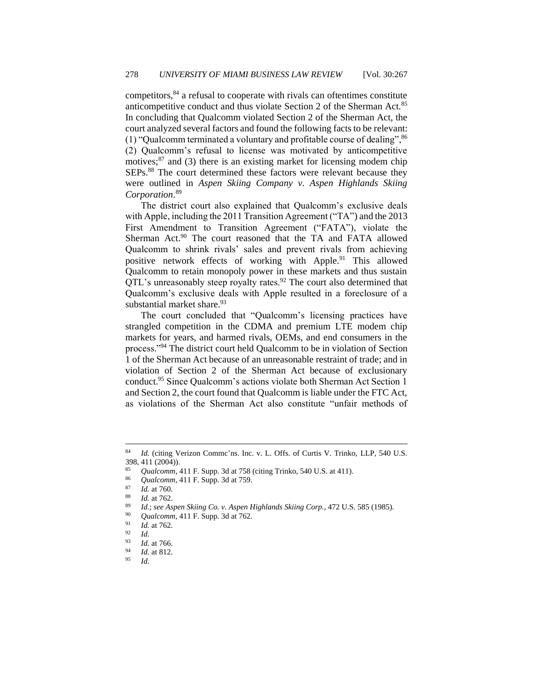competitors,<sup>84</sup> a refusal to cooperate with rivals can oftentimes constitute anticompetitive conduct and thus violate Section 2 of the Sherman Act.<sup>85</sup> In concluding that Qualcomm violated Section 2 of the Sherman Act, the court analyzed several factors and found the following facts to be relevant: (1) "Qualcomm terminated a voluntary and profitable course of dealing",  $86$ (2) Qualcomm's refusal to license was motivated by anticompetitive motives; $^{87}$  and (3) there is an existing market for licensing modem chip SEPs.<sup>88</sup> The court determined these factors were relevant because they were outlined in *Aspen Skiing Company v. Aspen Highlands Skiing Corporation*. 89

The district court also explained that Qualcomm's exclusive deals with Apple, including the 2011 Transition Agreement ("TA") and the 2013 First Amendment to Transition Agreement ("FATA"), violate the Sherman Act.<sup>90</sup> The court reasoned that the TA and FATA allowed Qualcomm to shrink rivals' sales and prevent rivals from achieving positive network effects of working with Apple.<sup>91</sup> This allowed Qualcomm to retain monopoly power in these markets and thus sustain  $QTL$ 's unreasonably steep royalty rates.<sup>92</sup> The court also determined that Qualcomm's exclusive deals with Apple resulted in a foreclosure of a substantial market share. $93$ 

The court concluded that "Qualcomm's licensing practices have strangled competition in the CDMA and premium LTE modem chip markets for years, and harmed rivals, OEMs, and end consumers in the process."<sup>94</sup> The district court held Qualcomm to be in violation of Section 1 of the Sherman Act because of an unreasonable restraint of trade; and in violation of Section 2 of the Sherman Act because of exclusionary conduct.<sup>95</sup> Since Qualcomm's actions violate both Sherman Act Section 1 and Section 2, the court found that Qualcomm is liable under the FTC Act, as violations of the Sherman Act also constitute "unfair methods of

<sup>84</sup> *Id.* (citing Verizon Commc'ns. Inc. v. L. Offs. of Curtis V. Trinko, LLP, 540 U.S. 398, 411 (2004)).

<sup>&</sup>lt;sup>85</sup> *Qualcomm*, 411 F. Supp. 3d at 758 (citing Trinko, 540 U.S. at 411).

<sup>&</sup>lt;sup>86</sup> *Qualcomm*, 411 F. Supp. 3d at 759.

 $\frac{87}{88}$  *Id.* at 760.

*Id.* at 762.

<sup>89</sup> *Id.*; *see Aspen Skiing Co. v. Aspen Highlands Skiing Corp.*, 472 U.S. 585 (1985).

<sup>&</sup>lt;sup>90</sup> *Qualcomm*, 411 F. Supp. 3d at 762.

 $\frac{91}{92}$  *Id.* at 762.

 $\frac{92}{93}$  *Id.* 

 $\frac{93}{94}$  *Id.* at 766.  $\frac{94}{95}$  *Id.* at 812.

<sup>95</sup> *Id.*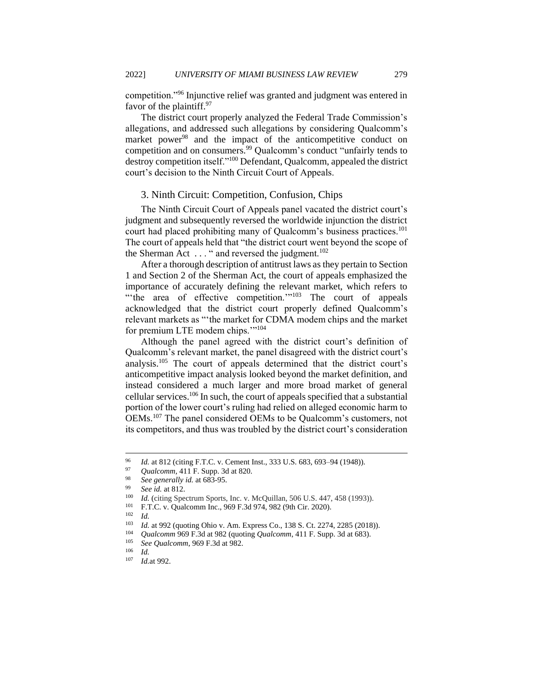competition."<sup>96</sup> Injunctive relief was granted and judgment was entered in favor of the plaintiff.<sup>97</sup>

The district court properly analyzed the Federal Trade Commission's allegations, and addressed such allegations by considering Qualcomm's market power<sup>98</sup> and the impact of the anticompetitive conduct on competition and on consumers.<sup>99</sup> Qualcomm's conduct "unfairly tends to destroy competition itself."<sup>100</sup> Defendant, Qualcomm, appealed the district court's decision to the Ninth Circuit Court of Appeals.

#### <span id="page-13-0"></span>3. Ninth Circuit: Competition, Confusion, Chips

The Ninth Circuit Court of Appeals panel vacated the district court's judgment and subsequently reversed the worldwide injunction the district court had placed prohibiting many of Qualcomm's business practices.<sup>101</sup> The court of appeals held that "the district court went beyond the scope of the Sherman Act  $\dots$  " and reversed the judgment.<sup>102</sup>

After a thorough description of antitrust laws as they pertain to Section 1 and Section 2 of the Sherman Act, the court of appeals emphasized the importance of accurately defining the relevant market, which refers to "the area of effective competition."<sup>103</sup> The court of appeals acknowledged that the district court properly defined Qualcomm's relevant markets as "'the market for CDMA modem chips and the market for premium LTE modem chips.'"<sup>104</sup>

Although the panel agreed with the district court's definition of Qualcomm's relevant market, the panel disagreed with the district court's analysis.<sup>105</sup> The court of appeals determined that the district court's anticompetitive impact analysis looked beyond the market definition, and instead considered a much larger and more broad market of general cellular services.<sup>106</sup> In such, the court of appeals specified that a substantial portion of the lower court's ruling had relied on alleged economic harm to OEMs.<sup>107</sup> The panel considered OEMs to be Qualcomm's customers, not its competitors, and thus was troubled by the district court's consideration

 $\frac{102}{103}$  *Id.* 

<sup>&</sup>lt;sup>96</sup> *Id.* at 812 (citing F.T.C. v. Cement Inst., 333 U.S. 683, 693–94 (1948)).

<sup>97</sup> *Qualcomm*, 411 F. Supp. 3d at 820.

<sup>98</sup> *See generally id.* at 683-95.

<sup>&</sup>lt;sup>99</sup> *See id.* at 812.

<sup>100</sup> *Id.* (citing Spectrum Sports, Inc. v. McQuillan, 506 U.S. 447, 458 (1993)).

<sup>&</sup>lt;sup>101</sup> F.T.C. v. Qualcomm Inc., 969 F.3d 974, 982 (9th Cir. 2020).

<sup>103</sup> *Id.* at 992 (quoting Ohio v. Am. Express Co., 138 S. Ct. 2274, 2285 (2018)).<br>
104 *Qualcomm* 969 E 3d at 982 (quoting *Qualcomm* 411 E Supp. 3d at 683)

<sup>104</sup> *Qualcomm* 969 F.3d at 982 (quoting *Qualcomm*, 411 F. Supp. 3d at 683).

<sup>105</sup> *See Qualcomm*, 969 F.3d at 982.

 $\frac{106}{107}$  *Id.* 

*Id.*at 992.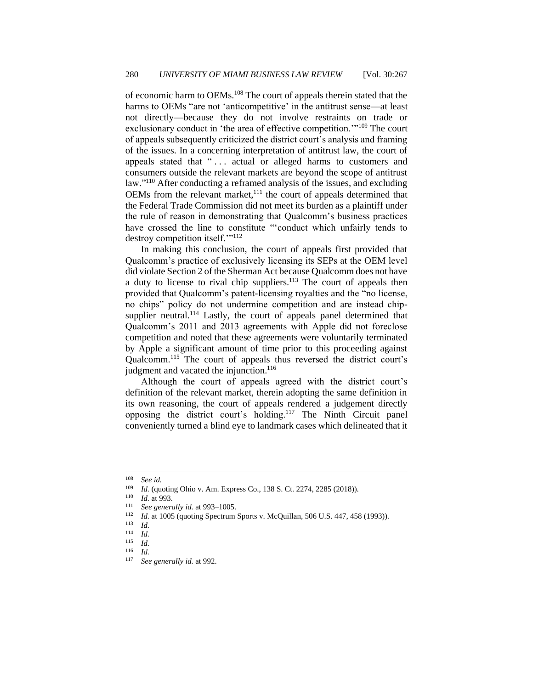of economic harm to OEMs.<sup>108</sup> The court of appeals therein stated that the harms to OEMs "are not 'anticompetitive' in the antitrust sense—at least not directly—because they do not involve restraints on trade or exclusionary conduct in 'the area of effective competition.'"<sup>109</sup> The court of appeals subsequently criticized the district court's analysis and framing of the issues. In a concerning interpretation of antitrust law, the court of appeals stated that "... actual or alleged harms to customers and consumers outside the relevant markets are beyond the scope of antitrust law."<sup>110</sup> After conducting a reframed analysis of the issues, and excluding  $OEMs$  from the relevant market, $^{111}$  the court of appeals determined that the Federal Trade Commission did not meet its burden as a plaintiff under the rule of reason in demonstrating that Qualcomm's business practices have crossed the line to constitute "'conduct which unfairly tends to destroy competition itself.'"<sup>112</sup>

In making this conclusion, the court of appeals first provided that Qualcomm's practice of exclusively licensing its SEPs at the OEM level did violate Section 2 of the Sherman Act because Qualcomm does not have a duty to license to rival chip suppliers.<sup>113</sup> The court of appeals then provided that Qualcomm's patent-licensing royalties and the "no license, no chips" policy do not undermine competition and are instead chipsupplier neutral.<sup>114</sup> Lastly, the court of appeals panel determined that Qualcomm's 2011 and 2013 agreements with Apple did not foreclose competition and noted that these agreements were voluntarily terminated by Apple a significant amount of time prior to this proceeding against Qualcomm.<sup>115</sup> The court of appeals thus reversed the district court's judgment and vacated the injunction.<sup>116</sup>

Although the court of appeals agreed with the district court's definition of the relevant market, therein adopting the same definition in its own reasoning, the court of appeals rendered a judgement directly opposing the district court's holding.<sup>117</sup> The Ninth Circuit panel conveniently turned a blind eye to landmark cases which delineated that it

<sup>108</sup> *See id.*

<sup>&</sup>lt;sup>109</sup> *Id.* (quoting Ohio v. Am. Express Co., 138 S. Ct. 2274, 2285 (2018)).

 $\frac{110}{111}$  *Id.* at 993.

<sup>&</sup>lt;sup>111</sup> *See generally id.* at 993–1005.<br><sup>112</sup> *Id.* at 1005 (quoting Spectrum)

<sup>&</sup>lt;sup>112</sup> *Id.* at 1005 (quoting Spectrum Sports v. McQuillan, 506 U.S. 447, 458 (1993)).

 $\frac{113}{114}$  *Id.* 

 $\frac{114}{115}$  *Id.* 

 $\frac{115}{116}$  *Id.* 

 $\frac{116}{117}$  *Id.* 

See generally id. at 992.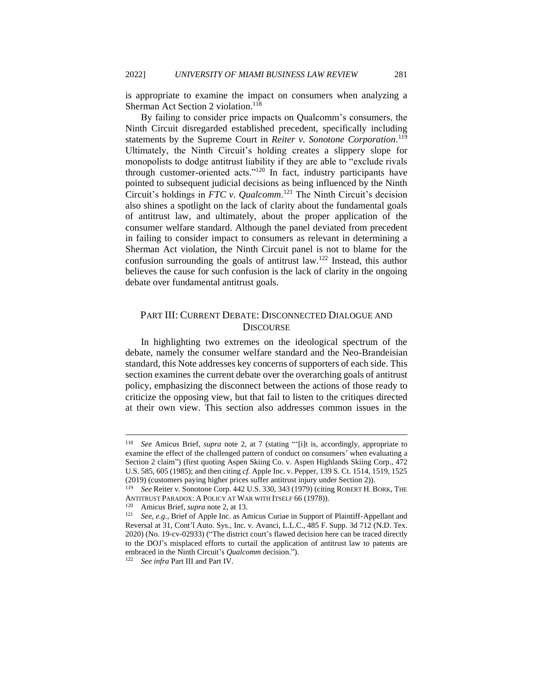is appropriate to examine the impact on consumers when analyzing a Sherman Act Section 2 violation.<sup>118</sup>

By failing to consider price impacts on Qualcomm's consumers, the Ninth Circuit disregarded established precedent, specifically including statements by the Supreme Court in *Reiter v. Sonotone Corporation*. 119 Ultimately, the Ninth Circuit's holding creates a slippery slope for monopolists to dodge antitrust liability if they are able to "exclude rivals through customer-oriented acts."<sup>120</sup> In fact, industry participants have pointed to subsequent judicial decisions as being influenced by the Ninth Circuit's holdings in *FTC v. Qualcomm*. <sup>121</sup> The Ninth Circuit's decision also shines a spotlight on the lack of clarity about the fundamental goals of antitrust law, and ultimately, about the proper application of the consumer welfare standard. Although the panel deviated from precedent in failing to consider impact to consumers as relevant in determining a Sherman Act violation, the Ninth Circuit panel is not to blame for the confusion surrounding the goals of antitrust law.<sup>122</sup> Instead, this author believes the cause for such confusion is the lack of clarity in the ongoing debate over fundamental antitrust goals.

## <span id="page-15-0"></span>PART III: CURRENT DEBATE: DISCONNECTED DIALOGUE AND **DISCOURSE**

In highlighting two extremes on the ideological spectrum of the debate, namely the consumer welfare standard and the Neo-Brandeisian standard, this Note addresses key concerns of supporters of each side. This section examines the current debate over the overarching goals of antitrust policy, emphasizing the disconnect between the actions of those ready to criticize the opposing view, but that fail to listen to the critiques directed at their own view. This section also addresses common issues in the

<sup>118</sup> *See* Amicus Brief, *supra* note 2, at 7 (stating "'[i]t is, accordingly, appropriate to examine the effect of the challenged pattern of conduct on consumers' when evaluating a Section 2 claim") (first quoting Aspen Skiing Co. v. Aspen Highlands Skiing Corp., 472 U.S. 585, 605 (1985); and then citing *cf.* Apple Inc. v. Pepper, 139 S. Ct. 1514, 1519, 1525 (2019) (customers paying higher prices suffer antitrust injury under Section 2)).

<sup>119</sup> *See* Reiter v. Sonotone Corp. 442 U.S. 330, 343 (1979) (citing ROBERT H. BORK, THE ANTITRUST PARADOX: A POLICY AT WAR WITH ITSELF 66 (1978)).

<sup>&</sup>lt;sup>120</sup> Amicus Brief, *supra* note 2, at 13.<br><sup>121</sup> See e.g. Brief of Apple Inc. as A

See, e.g., Brief of Apple Inc. as Amicus Curiae in Support of Plaintiff-Appellant and Reversal at 31, Cont'l Auto. Sys., Inc. v. Avanci, L.L.C., 485 F. Supp. 3d 712 (N.D. Tex. 2020) (No. 19-cv-02933) ("The district court's flawed decision here can be traced directly to the DOJ's misplaced efforts to curtail the application of antitrust law to patents are embraced in the Ninth Circuit's *Qualcomm* decision.").

<sup>122</sup> *See infra* Part III and Part IV.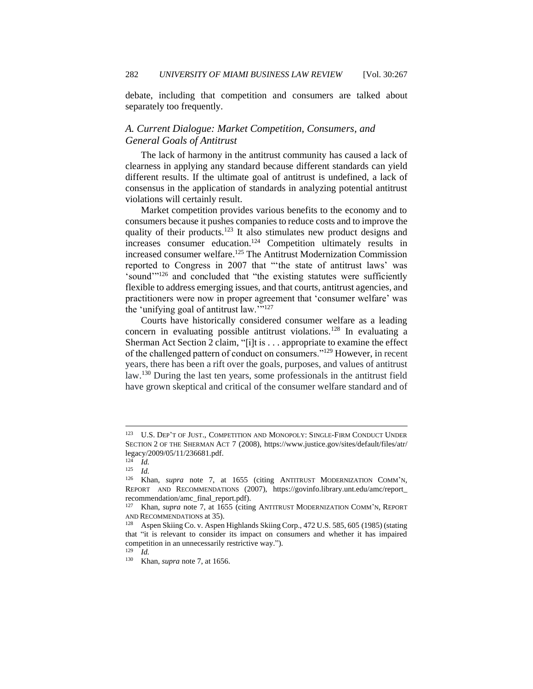debate, including that competition and consumers are talked about separately too frequently.

## <span id="page-16-0"></span>*A. Current Dialogue: Market Competition, Consumers, and General Goals of Antitrust*

The lack of harmony in the antitrust community has caused a lack of clearness in applying any standard because different standards can yield different results. If the ultimate goal of antitrust is undefined, a lack of consensus in the application of standards in analyzing potential antitrust violations will certainly result.

Market competition provides various benefits to the economy and to consumers because it pushes companies to reduce costs and to improve the quality of their products.<sup>123</sup> It also stimulates new product designs and increases consumer education.<sup>124</sup> Competition ultimately results in increased consumer welfare.<sup>125</sup> The Antitrust Modernization Commission reported to Congress in 2007 that "'the state of antitrust laws' was 'sound'"<sup>126</sup> and concluded that "the existing statutes were sufficiently flexible to address emerging issues, and that courts, antitrust agencies, and practitioners were now in proper agreement that 'consumer welfare' was the 'unifying goal of antitrust law.""<sup>127</sup>

Courts have historically considered consumer welfare as a leading concern in evaluating possible antitrust violations.<sup>128</sup> In evaluating a Sherman Act Section 2 claim, "[i]t is . . . appropriate to examine the effect of the challenged pattern of conduct on consumers."<sup>129</sup> However, in recent years, there has been a rift over the goals, purposes, and values of antitrust law.<sup>130</sup> During the last ten years, some professionals in the antitrust field have grown skeptical and critical of the consumer welfare standard and of

<sup>123</sup> U.S. DEP'T OF JUST., COMPETITION AND MONOPOLY: SINGLE-FIRM CONDUCT UNDER SECTION 2 OF THE SHERMAN ACT 7 (2008), https://www.justice.gov/sites/default/files/atr/ legacy/2009/05/11/236681.pdf.

 $12\overline{4}$  *Id.* 

<sup>125</sup> *Id.*

<sup>126</sup> Khan, *supra* note 7, at 1655 (citing ANTITRUST MODERNIZATION COMM'N, REPORT AND RECOMMENDATIONS (2007), https://govinfo.library.unt.edu/amc/report\_ recommendation/amc\_final\_report.pdf).

Khan, *supra* note 7, at 1655 (citing ANTITRUST MODERNIZATION COMM'N, REPORT AND RECOMMENDATIONS at 35).<br><sup>128</sup> Aspen Skiing Co. v. Aspen

Aspen Skiing Co. v. Aspen Highlands Skiing Corp., 472 U.S. 585, 605 (1985) (stating that "it is relevant to consider its impact on consumers and whether it has impaired competition in an unnecessarily restrictive way.").

<sup>129</sup> *Id.*

<sup>130</sup> Khan, *supra* note 7, at 1656.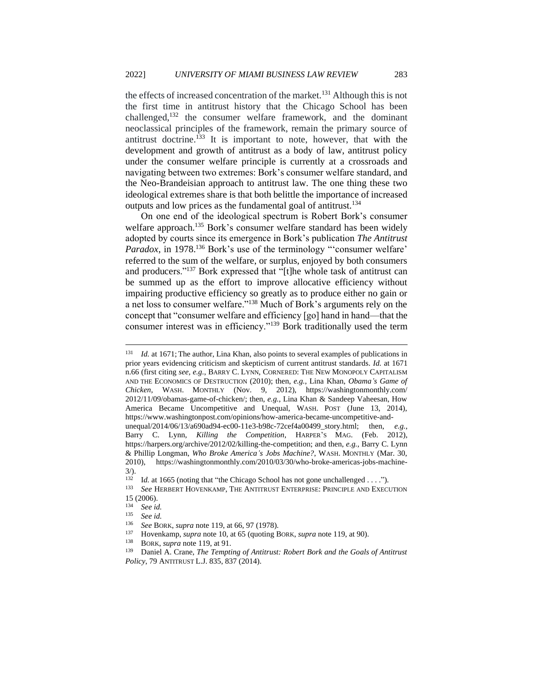the effects of increased concentration of the market.<sup>131</sup> Although this is not the first time in antitrust history that the Chicago School has been challenged,<sup>132</sup> the consumer welfare framework, and the dominant neoclassical principles of the framework, remain the primary source of antitrust doctrine.<sup>133</sup> It is important to note, however, that with the development and growth of antitrust as a body of law, antitrust policy under the consumer welfare principle is currently at a crossroads and navigating between two extremes: Bork's consumer welfare standard, and the Neo-Brandeisian approach to antitrust law. The one thing these two ideological extremes share is that both belittle the importance of increased outputs and low prices as the fundamental goal of antitrust.<sup>134</sup>

On one end of the ideological spectrum is Robert Bork's consumer welfare approach.<sup>135</sup> Bork's consumer welfare standard has been widely adopted by courts since its emergence in Bork's publication *The Antitrust Paradox*, in 1978.<sup>136</sup> Bork's use of the terminology "'consumer welfare' referred to the sum of the welfare, or surplus, enjoyed by both consumers and producers."<sup>137</sup> Bork expressed that "[t]he whole task of antitrust can be summed up as the effort to improve allocative efficiency without impairing productive efficiency so greatly as to produce either no gain or a net loss to consumer welfare."<sup>138</sup> Much of Bork's arguments rely on the concept that "consumer welfare and efficiency [go] hand in hand—that the consumer interest was in efficiency."<sup>139</sup> Bork traditionally used the term

<sup>131</sup> *Id.* at 1671; The author, Lina Khan, also points to several examples of publications in prior years evidencing criticism and skepticism of current antitrust standards. *Id.* at 1671 n.66 (first citing *see, e.g.*, BARRY C. LYNN, CORNERED: THE NEW MONOPOLY CAPITALISM AND THE ECONOMICS OF DESTRUCTION (2010); then, *e.g.*, Lina Khan, *Obama's Game of Chicken*, WASH. MONTHLY (Nov. 9, 2012), https://washingtonmonthly.com/ 2012/11/09/obamas-game-of-chicken/; then, *e.g.*, Lina Khan & Sandeep Vaheesan, How America Became Uncompetitive and Unequal, WASH. POST (June 13, 2014), https://www.washingtonpost.com/opinions/how-america-became-uncompetitive-andunequal/2014/06/13/a690ad94-ec00-11e3-b98c-72cef4a00499\_story.html; then, *e.g.*, Barry C. Lynn, *Killing the Competition*, HARPER'S MAG. (Feb. 2012), https://harpers.org/archive/2012/02/killing-the-competition; and then, *e.g.*, Barry C. Lynn & Phillip Longman, *Who Broke America's Jobs Machine?*, WASH. MONTHLY (Mar. 30, 2010), https://washingtonmonthly.com/2010/03/30/who-broke-americas-jobs-machine-

 $3/$ ).

<sup>132</sup> Id. at 1665 (noting that "the Chicago School has not gone unchallenged . . . .").<br>133 See HERRERT HOVENIZAMP, THE ANTITRIUST ENTERPRISE: PRINCIPLE AND EXECT

<sup>133</sup> *See* HERBERT HOVENKAMP, THE ANTITRUST ENTERPRISE: PRINCIPLE AND EXECUTION 15 (2006).

<sup>134</sup> *See id.*

<sup>135</sup> *See id.*

<sup>136</sup> *See* BORK, *supra* note 119, at 66, 97 (1978).

<sup>137</sup> Hovenkamp, *supra* note 10, at 65 (quoting BORK, *supra* note 119, at 90).

BORK, *supra* note 119, at 91.

<sup>139</sup> Daniel A. Crane, *The Tempting of Antitrust: Robert Bork and the Goals of Antitrust Policy*, 79 ANTITRUST L.J. 835, 837 (2014).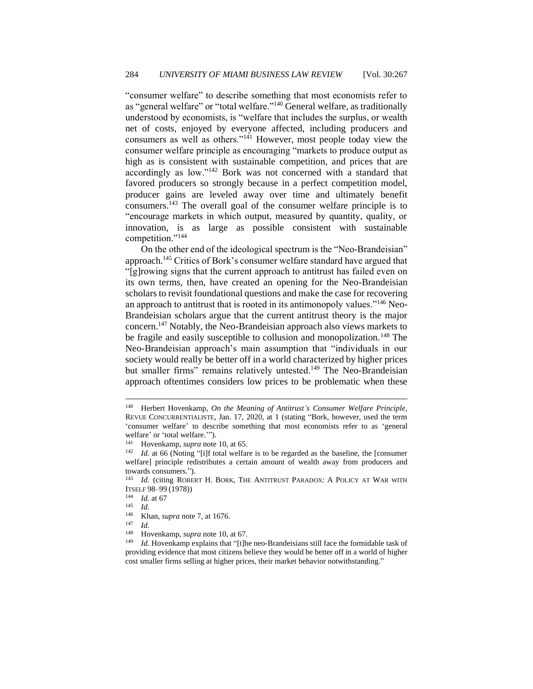"consumer welfare" to describe something that most economists refer to as "general welfare" or "total welfare."<sup>140</sup> General welfare, as traditionally understood by economists, is "welfare that includes the surplus, or wealth net of costs, enjoyed by everyone affected, including producers and consumers as well as others."<sup>141</sup> However, most people today view the consumer welfare principle as encouraging "markets to produce output as high as is consistent with sustainable competition, and prices that are accordingly as low."<sup>142</sup> Bork was not concerned with a standard that favored producers so strongly because in a perfect competition model, producer gains are leveled away over time and ultimately benefit consumers.<sup>143</sup> The overall goal of the consumer welfare principle is to "encourage markets in which output, measured by quantity, quality, or innovation, is as large as possible consistent with sustainable competition."<sup>144</sup>

On the other end of the ideological spectrum is the "Neo-Brandeisian" approach.<sup>145</sup> Critics of Bork's consumer welfare standard have argued that "[g]rowing signs that the current approach to antitrust has failed even on its own terms, then, have created an opening for the Neo-Brandeisian scholars to revisit foundational questions and make the case for recovering an approach to antitrust that is rooted in its antimonopoly values."<sup>146</sup> Neo-Brandeisian scholars argue that the current antitrust theory is the major concern.<sup>147</sup> Notably, the Neo-Brandeisian approach also views markets to be fragile and easily susceptible to collusion and monopolization.<sup>148</sup> The Neo-Brandeisian approach's main assumption that "individuals in our society would really be better off in a world characterized by higher prices but smaller firms" remains relatively untested.<sup>149</sup> The Neo-Brandeisian approach oftentimes considers low prices to be problematic when these

<sup>140</sup> Herbert Hovenkamp, *On the Meaning of Antitrust's Consumer Welfare Principle*, REVUE CONCURRENTIALISTE, Jan. 17, 2020, at 1 (stating "Bork, however, used the term 'consumer welfare' to describe something that most economists refer to as 'general welfare' or 'total welfare.'").

<sup>141</sup> Hovenkamp, *supra* note 10, at 65.

<sup>&</sup>lt;sup>142</sup> *Id.* at 66 (Noting "[i]f total welfare is to be regarded as the baseline, the [consumer welfare] principle redistributes a certain amount of wealth away from producers and towards consumers.").

<sup>&</sup>lt;sup>143</sup> *Id.* (citing ROBERT H. BORK, THE ANTITRUST PARADOX: A POLICY AT WAR WITH ITSELF 98–99 (1978))

 $\frac{144}{145}$  *Id.* at 67

 $\frac{145}{146}$  *Id.* 

<sup>&</sup>lt;sup>146</sup> Khan, *supra* note 7, at 1676.

 $\frac{147}{148}$  *Id.* 

<sup>&</sup>lt;sup>148</sup> Hovenkamp, *supra* note 10, at 67.<br><sup>149</sup> *Id.* Hovenkamp explains that "[t]h

Id. Hovenkamp explains that "[t]he neo-Brandeisians still face the formidable task of providing evidence that most citizens believe they would be better off in a world of higher cost smaller firms selling at higher prices, their market behavior notwithstanding."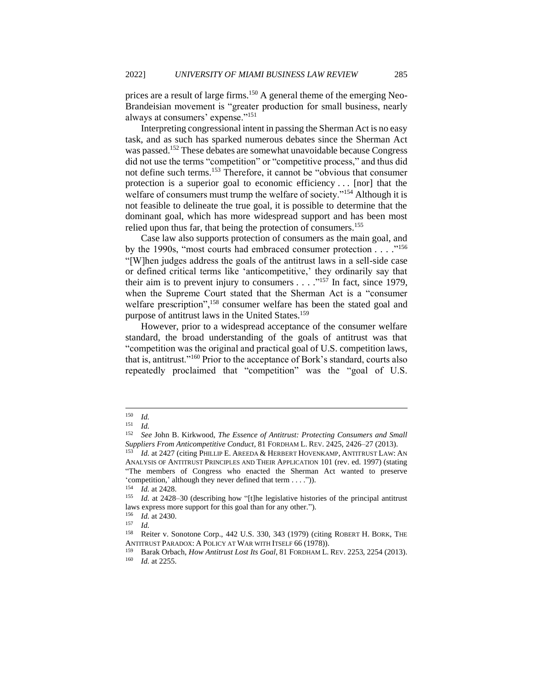prices are a result of large firms.<sup>150</sup> A general theme of the emerging Neo-Brandeisian movement is "greater production for small business, nearly always at consumers' expense."<sup>151</sup>

Interpreting congressional intent in passing the Sherman Act is no easy task, and as such has sparked numerous debates since the Sherman Act was passed.<sup>152</sup> These debates are somewhat unavoidable because Congress did not use the terms "competition" or "competitive process," and thus did not define such terms.<sup>153</sup> Therefore, it cannot be "obvious that consumer protection is a superior goal to economic efficiency . . . [nor] that the welfare of consumers must trump the welfare of society."<sup>154</sup> Although it is not feasible to delineate the true goal, it is possible to determine that the dominant goal, which has more widespread support and has been most relied upon thus far, that being the protection of consumers.<sup>155</sup>

Case law also supports protection of consumers as the main goal, and by the 1990s, "most courts had embraced consumer protection . . . ."<sup>156</sup> "[W]hen judges address the goals of the antitrust laws in a sell-side case or defined critical terms like 'anticompetitive,' they ordinarily say that their aim is to prevent injury to consumers  $\dots$  ..."<sup>157</sup> In fact, since 1979, when the Supreme Court stated that the Sherman Act is a "consumer welfare prescription",<sup>158</sup> consumer welfare has been the stated goal and purpose of antitrust laws in the United States.<sup>159</sup>

However, prior to a widespread acceptance of the consumer welfare standard, the broad understanding of the goals of antitrust was that "competition was the original and practical goal of U.S. competition laws, that is, antitrust."<sup>160</sup> Prior to the acceptance of Bork's standard, courts also repeatedly proclaimed that "competition" was the "goal of U.S.

<sup>150</sup> *Id.*

<sup>151</sup> *Id.*

<sup>152</sup> *See* John B. Kirkwood, *The Essence of Antitrust: Protecting Consumers and Small Suppliers From Anticompetitive Conduct*, 81 FORDHAM L. REV. 2425, 2426–27 (2013).

Id. at 2427 (citing PHILLIP E. AREEDA & HERBERT HOVENKAMP, ANTITRUST LAW: AN ANALYSIS OF ANTITRUST PRINCIPLES AND THEIR APPLICATION 101 (rev. ed. 1997) (stating "The members of Congress who enacted the Sherman Act wanted to preserve 'competition,' although they never defined that term . . . .")).

<sup>&</sup>lt;sup>154</sup> *Id.* at 2428.<br><sup>155</sup> *Id.* at 2428

Id. at 2428–30 (describing how "[t]he legislative histories of the principal antitrust laws express more support for this goal than for any other.").

 $\frac{156}{157}$  *Id.* at 2430.

 $\frac{157}{158}$  *Id.* 

Reiter v. Sonotone Corp., 442 U.S. 330, 343 (1979) (citing ROBERT H. BORK, THE ANTITRUST PARADOX: A POLICY AT WAR WITH ITSELF 66 (1978)).<br><sup>159</sup> Barak Orbach, How Antitrust Lost Its Goal, 81 FORDHAM I

<sup>159</sup> Barak Orbach, *How Antitrust Lost Its Goal*, 81 FORDHAM L. REV. 2253, 2254 (2013). <sup>160</sup> *Id.* at 2255.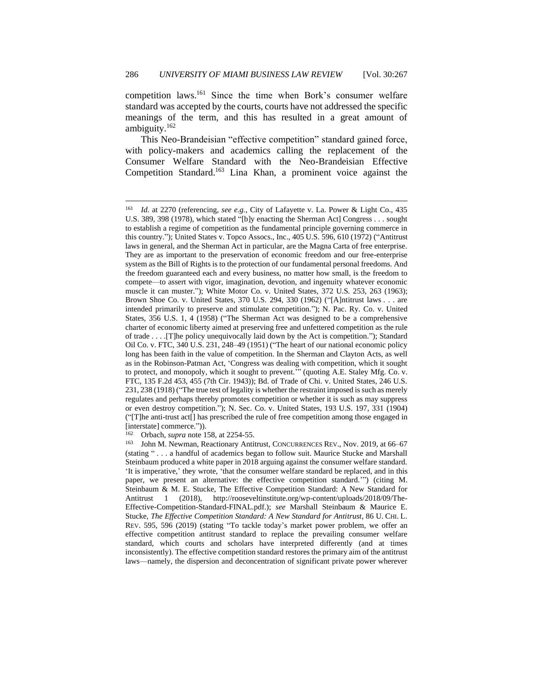competition laws.<sup>161</sup> Since the time when Bork's consumer welfare standard was accepted by the courts, courts have not addressed the specific meanings of the term, and this has resulted in a great amount of ambiguity.<sup>162</sup>

This Neo-Brandeisian "effective competition" standard gained force, with policy-makers and academics calling the replacement of the Consumer Welfare Standard with the Neo-Brandeisian Effective Competition Standard.<sup>163</sup> Lina Khan, a prominent voice against the

<sup>161</sup> *Id.* at 2270 (referencing, *see e.g.*, City of Lafayette v. La. Power & Light Co., 435 U.S. 389, 398 (1978), which stated "[b]y enacting the Sherman Act] Congress . . . sought to establish a regime of competition as the fundamental principle governing commerce in this country."); United States v. Topco Assocs., Inc., 405 U.S. 596, 610 (1972) ("Antitrust laws in general, and the Sherman Act in particular, are the Magna Carta of free enterprise. They are as important to the preservation of economic freedom and our free-enterprise system as the Bill of Rights is to the protection of our fundamental personal freedoms. And the freedom guaranteed each and every business, no matter how small, is the freedom to compete—to assert with vigor, imagination, devotion, and ingenuity whatever economic muscle it can muster."); White Motor Co. v. United States, 372 U.S. 253, 263 (1963); Brown Shoe Co. v. United States, 370 U.S. 294, 330 (1962) ("[A]ntitrust laws . . . are intended primarily to preserve and stimulate competition."); N. Pac. Ry. Co. v. United States, 356 U.S. 1, 4 (1958) ("The Sherman Act was designed to be a comprehensive charter of economic liberty aimed at preserving free and unfettered competition as the rule of trade . . . .[T]he policy unequivocally laid down by the Act is competition."); Standard Oil Co. v. FTC, 340 U.S. 231, 248–49 (1951) ("The heart of our national economic policy long has been faith in the value of competition. In the Sherman and Clayton Acts, as well as in the Robinson-Patman Act, 'Congress was dealing with competition, which it sought to protect, and monopoly, which it sought to prevent.'" (quoting A.E. Staley Mfg. Co. v. FTC, 135 F.2d 453, 455 (7th Cir. 1943)); Bd. of Trade of Chi. v. United States, 246 U.S. 231, 238 (1918) ("The true test of legality is whether the restraint imposed is such as merely regulates and perhaps thereby promotes competition or whether it is such as may suppress or even destroy competition."); N. Sec. Co. v. United States, 193 U.S. 197, 331 (1904) ("[T]he anti-trust act[] has prescribed the rule of free competition among those engaged in [interstate] commerce.")).

<sup>&</sup>lt;sup>162</sup> Orbach, *supra* note 158, at 2254-55.<br><sup>163</sup> John M. Newman, Beactionary Anti-

John M. Newman, Reactionary Antitrust, CONCURRENCES REV., Nov. 2019, at 66-67 (stating " . . . a handful of academics began to follow suit. Maurice Stucke and Marshall Steinbaum produced a white paper in 2018 arguing against the consumer welfare standard. 'It is imperative,' they wrote, 'that the consumer welfare standard be replaced, and in this paper, we present an alternative: the effective competition standard.'") (citing M. Steinbaum & M. E. Stucke, The Effective Competition Standard: A New Standard for Antitrust 1 (2018), http://rooseveltinstitute.org/wp-content/uploads/2018/09/The-Effective-Competition-Standard-FINAL.pdf.); *see* Marshall Steinbaum & Maurice E. Stucke, *The Effective Competition Standard: A New Standard for Antitrust*, 86 U. CHI. L. REV. 595, 596 (2019) (stating "To tackle today's market power problem, we offer an effective competition antitrust standard to replace the prevailing consumer welfare standard, which courts and scholars have interpreted differently (and at times inconsistently). The effective competition standard restores the primary aim of the antitrust laws—namely, the dispersion and deconcentration of significant private power wherever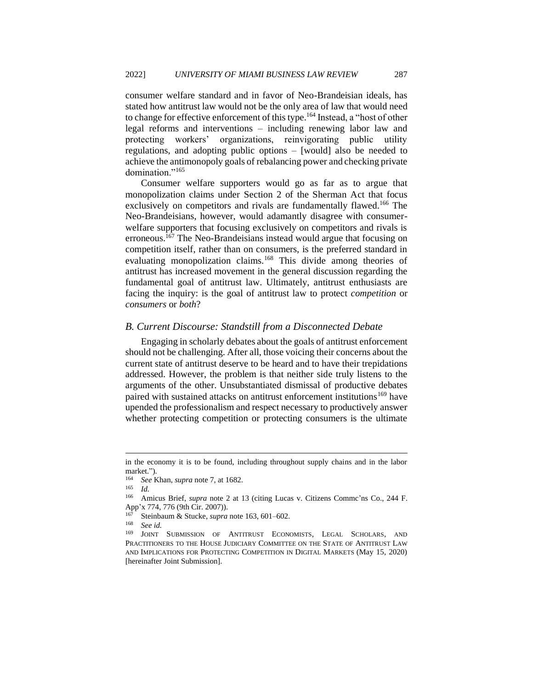consumer welfare standard and in favor of Neo-Brandeisian ideals, has stated how antitrust law would not be the only area of law that would need to change for effective enforcement of this type.<sup>164</sup> Instead, a "host of other legal reforms and interventions – including renewing labor law and protecting workers' organizations, reinvigorating public utility regulations, and adopting public options – [would] also be needed to achieve the antimonopoly goals of rebalancing power and checking private domination."<sup>165</sup>

Consumer welfare supporters would go as far as to argue that monopolization claims under Section 2 of the Sherman Act that focus exclusively on competitors and rivals are fundamentally flawed.<sup>166</sup> The Neo-Brandeisians, however, would adamantly disagree with consumerwelfare supporters that focusing exclusively on competitors and rivals is erroneous.<sup>167</sup> The Neo-Brandeisians instead would argue that focusing on competition itself, rather than on consumers, is the preferred standard in evaluating monopolization claims.<sup>168</sup> This divide among theories of antitrust has increased movement in the general discussion regarding the fundamental goal of antitrust law. Ultimately, antitrust enthusiasts are facing the inquiry: is the goal of antitrust law to protect *competition* or *consumers* or *both*?

## <span id="page-21-0"></span>*B. Current Discourse: Standstill from a Disconnected Debate*

Engaging in scholarly debates about the goals of antitrust enforcement should not be challenging. After all, those voicing their concerns about the current state of antitrust deserve to be heard and to have their trepidations addressed. However, the problem is that neither side truly listens to the arguments of the other. Unsubstantiated dismissal of productive debates paired with sustained attacks on antitrust enforcement institutions<sup>169</sup> have upended the professionalism and respect necessary to productively answer whether protecting competition or protecting consumers is the ultimate

<sup>165</sup> *Id.*

in the economy it is to be found, including throughout supply chains and in the labor market.").

<sup>164</sup> *See* Khan, *supra* note 7, at 1682.

<sup>&</sup>lt;sup>166</sup> Amicus Brief, *supra* note 2 at 13 (citing Lucas v. Citizens Commc'ns Co., 244 F. App'x 774, 776 (9th Cir. 2007)).

<sup>167</sup> Steinbaum & Stucke, *supra* note 163, 601–602.

 $\frac{168}{169}$  *See id.* 

JOINT SUBMISSION OF ANTITRUST ECONOMISTS, LEGAL SCHOLARS, AND PRACTITIONERS TO THE HOUSE JUDICIARY COMMITTEE ON THE STATE OF ANTITRUST LAW AND IMPLICATIONS FOR PROTECTING COMPETITION IN DIGITAL MARKETS (May 15, 2020) [hereinafter Joint Submission].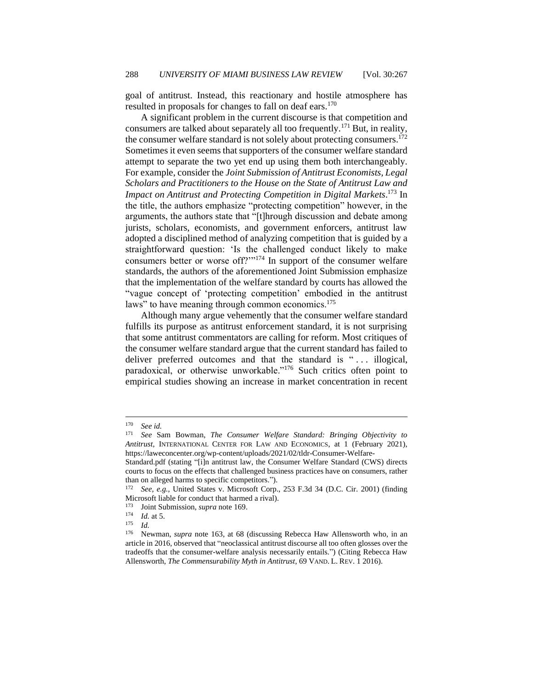goal of antitrust. Instead, this reactionary and hostile atmosphere has resulted in proposals for changes to fall on deaf ears.<sup>170</sup>

A significant problem in the current discourse is that competition and consumers are talked about separately all too frequently.<sup>171</sup> But, in reality, the consumer welfare standard is not solely about protecting consumers.<sup>172</sup> Sometimes it even seems that supporters of the consumer welfare standard attempt to separate the two yet end up using them both interchangeably. For example, consider the *Joint Submission of Antitrust Economists, Legal Scholars and Practitioners to the House on the State of Antitrust Law and Impact on Antitrust and Protecting Competition in Digital Markets*. <sup>173</sup> In the title, the authors emphasize "protecting competition" however, in the arguments, the authors state that "[t]hrough discussion and debate among jurists, scholars, economists, and government enforcers, antitrust law adopted a disciplined method of analyzing competition that is guided by a straightforward question: 'Is the challenged conduct likely to make consumers better or worse off?'"<sup>174</sup> In support of the consumer welfare standards, the authors of the aforementioned Joint Submission emphasize that the implementation of the welfare standard by courts has allowed the "vague concept of 'protecting competition' embodied in the antitrust laws" to have meaning through common economics.<sup>175</sup>

Although many argue vehemently that the consumer welfare standard fulfills its purpose as antitrust enforcement standard, it is not surprising that some antitrust commentators are calling for reform. Most critiques of the consumer welfare standard argue that the current standard has failed to deliver preferred outcomes and that the standard is "... illogical, paradoxical, or otherwise unworkable."<sup>176</sup> Such critics often point to empirical studies showing an increase in market concentration in recent

<sup>&</sup>lt;sup>170</sup> *See id.*<br><sup>171</sup> *See* S:

<sup>171</sup> *See* Sam Bowman, *The Consumer Welfare Standard: Bringing Objectivity to Antitrust,* INTERNATIONAL CENTER FOR LAW AND ECONOMICS, at 1 (February 2021), https://laweconcenter.org/wp-content/uploads/2021/02/tldr-Consumer-Welfare-

Standard.pdf (stating "[i]n antitrust law, the Consumer Welfare Standard (CWS) directs courts to focus on the effects that challenged business practices have on consumers, rather than on alleged harms to specific competitors.").

<sup>172</sup> *See, e.g.*, United States v. Microsoft Corp., 253 F.3d 34 (D.C. Cir. 2001) (finding Microsoft liable for conduct that harmed a rival).

<sup>173</sup> Joint Submission*, supra* note 169.

 $\frac{174}{175}$  *Id.* at 5.

 $\frac{175}{176}$  *Id.* 

Newman, *supra* note 163, at 68 (discussing Rebecca Haw Allensworth who, in an article in 2016, observed that "neoclassical antitrust discourse all too often glosses over the tradeoffs that the consumer-welfare analysis necessarily entails.") (Citing Rebecca Haw Allensworth, *The Commensurability Myth in Antitrust*, 69 VAND. L. REV. 1 2016).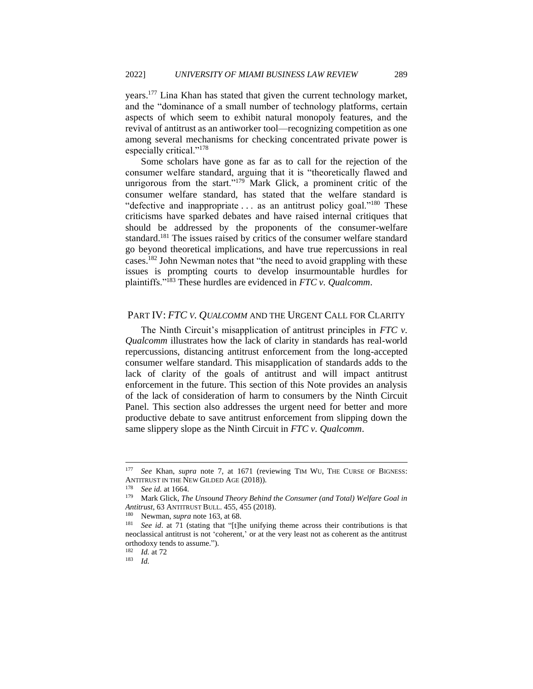years.<sup>177</sup> Lina Khan has stated that given the current technology market, and the "dominance of a small number of technology platforms, certain aspects of which seem to exhibit natural monopoly features, and the revival of antitrust as an antiworker tool—recognizing competition as one among several mechanisms for checking concentrated private power is especially critical."<sup>178</sup>

Some scholars have gone as far as to call for the rejection of the consumer welfare standard, arguing that it is "theoretically flawed and unrigorous from the start."<sup>179</sup> Mark Glick, a prominent critic of the consumer welfare standard, has stated that the welfare standard is "defective and inappropriate ... as an antitrust policy goal."<sup>180</sup> These criticisms have sparked debates and have raised internal critiques that should be addressed by the proponents of the consumer-welfare standard.<sup>181</sup> The issues raised by critics of the consumer welfare standard go beyond theoretical implications, and have true repercussions in real cases.<sup>182</sup> John Newman notes that "the need to avoid grappling with these issues is prompting courts to develop insurmountable hurdles for plaintiffs."<sup>183</sup> These hurdles are evidenced in *FTC v. Qualcomm*.

## <span id="page-23-0"></span>PART IV: *FTC V. QUALCOMM* AND THE URGENT CALL FOR CLARITY

The Ninth Circuit's misapplication of antitrust principles in *FTC v. Qualcomm* illustrates how the lack of clarity in standards has real-world repercussions, distancing antitrust enforcement from the long-accepted consumer welfare standard. This misapplication of standards adds to the lack of clarity of the goals of antitrust and will impact antitrust enforcement in the future. This section of this Note provides an analysis of the lack of consideration of harm to consumers by the Ninth Circuit Panel. This section also addresses the urgent need for better and more productive debate to save antitrust enforcement from slipping down the same slippery slope as the Ninth Circuit in *FTC v. Qualcomm*.

<sup>&</sup>lt;sup>177</sup> *See* Khan, *supra* note 7, at 1671 (reviewing TIM WU, THE CURSE OF BIGNESS: ANTITRUST IN THE NEW GILDED AGE (2018)).

<sup>&</sup>lt;sup>178</sup> *See id.* at 1664.

Mark Glick, *The Unsound Theory Behind the Consumer (and Total) Welfare Goal in Antitrust*, 63 ANTITRUST BULL. 455, 455 (2018).<br><sup>180</sup> Nowman, sunga pote 163, at 68.

Newman, *supra* note 163, at 68.

<sup>181</sup> *See id*. at 71 (stating that "[t]he unifying theme across their contributions is that neoclassical antitrust is not 'coherent,' or at the very least not as coherent as the antitrust orthodoxy tends to assume."). <sup>182</sup> *Id.* at 72

<sup>183</sup> *Id.*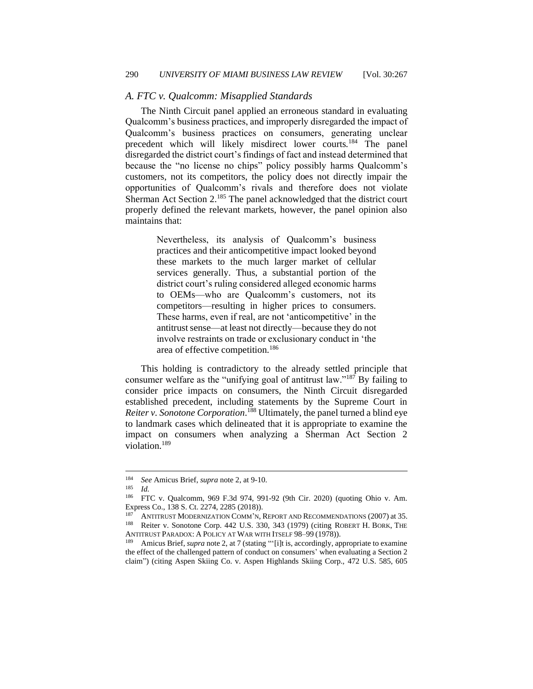#### <span id="page-24-0"></span>*A. FTC v. Qualcomm: Misapplied Standards*

The Ninth Circuit panel applied an erroneous standard in evaluating Qualcomm's business practices, and improperly disregarded the impact of Qualcomm's business practices on consumers, generating unclear precedent which will likely misdirect lower courts.<sup>184</sup> The panel disregarded the district court's findings of fact and instead determined that because the "no license no chips" policy possibly harms Qualcomm's customers, not its competitors, the policy does not directly impair the opportunities of Qualcomm's rivals and therefore does not violate Sherman Act Section 2.<sup>185</sup> The panel acknowledged that the district court properly defined the relevant markets, however, the panel opinion also maintains that:

> Nevertheless, its analysis of Qualcomm's business practices and their anticompetitive impact looked beyond these markets to the much larger market of cellular services generally. Thus, a substantial portion of the district court's ruling considered alleged economic harms to OEMs—who are Qualcomm's customers, not its competitors—resulting in higher prices to consumers. These harms, even if real, are not 'anticompetitive' in the antitrust sense—at least not directly—because they do not involve restraints on trade or exclusionary conduct in 'the area of effective competition.<sup>186</sup>

This holding is contradictory to the already settled principle that consumer welfare as the "unifying goal of antitrust law."<sup>187</sup> By failing to consider price impacts on consumers, the Ninth Circuit disregarded established precedent, including statements by the Supreme Court in *Reiter v. Sonotone Corporation*. <sup>188</sup> Ultimately, the panel turned a blind eye to landmark cases which delineated that it is appropriate to examine the impact on consumers when analyzing a Sherman Act Section 2 violation.<sup>189</sup>

<sup>184</sup> *See* Amicus Brief, *supra* note 2, at 9-10.

<sup>185</sup> *Id.*

<sup>186</sup> FTC v. Qualcomm, 969 F.3d 974, 991-92 (9th Cir. 2020) (quoting Ohio v. Am. Express Co., 138 S. Ct. 2274, 2285 (2018)).

<sup>&</sup>lt;sup>187</sup> ANTITRUST MODERNIZATION COMM'N, REPORT AND RECOMMENDATIONS (2007) at 35.<br><sup>188</sup> Reiter y Sonotone Corn. 442 U.S. 330, 343 (1979) (citing ROBERT H. RORK, THE Reiter v. Sonotone Corp. 442 U.S. 330, 343 (1979) (citing ROBERT H. BORK, THE ANTITRUST PARADOX: A POLICY AT WAR WITH ITSELF 98–99 (1978)).

<sup>189</sup> Amicus Brief, *supra* note 2, at 7 (stating "'[i]t is, accordingly, appropriate to examine the effect of the challenged pattern of conduct on consumers' when evaluating a Section 2 claim") (citing Aspen Skiing Co. v. Aspen Highlands Skiing Corp., 472 U.S. 585, 605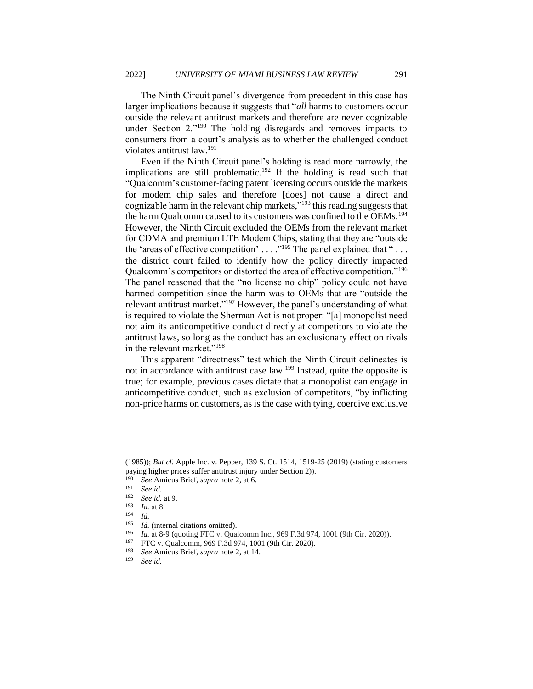The Ninth Circuit panel's divergence from precedent in this case has larger implications because it suggests that "*all* harms to customers occur outside the relevant antitrust markets and therefore are never cognizable under Section 2."<sup>190</sup> The holding disregards and removes impacts to consumers from a court's analysis as to whether the challenged conduct violates antitrust law.<sup>191</sup>

Even if the Ninth Circuit panel's holding is read more narrowly, the implications are still problematic.<sup>192</sup> If the holding is read such that "Qualcomm's customer-facing patent licensing occurs outside the markets for modem chip sales and therefore [does] not cause a direct and cognizable harm in the relevant chip markets,"<sup>193</sup> this reading suggests that the harm Qualcomm caused to its customers was confined to the OEMs.<sup>194</sup> However, the Ninth Circuit excluded the OEMs from the relevant market for CDMA and premium LTE Modem Chips, stating that they are "outside the 'areas of effective competition' ...  $\cdot$ <sup>195</sup> The panel explained that "... the district court failed to identify how the policy directly impacted Qualcomm's competitors or distorted the area of effective competition."<sup>196</sup> The panel reasoned that the "no license no chip" policy could not have harmed competition since the harm was to OEMs that are "outside the relevant antitrust market."<sup>197</sup> However, the panel's understanding of what is required to violate the Sherman Act is not proper: "[a] monopolist need not aim its anticompetitive conduct directly at competitors to violate the antitrust laws, so long as the conduct has an exclusionary effect on rivals in the relevant market."<sup>198</sup>

This apparent "directness" test which the Ninth Circuit delineates is not in accordance with antitrust case law.<sup>199</sup> Instead, quite the opposite is true; for example, previous cases dictate that a monopolist can engage in anticompetitive conduct, such as exclusion of competitors, "by inflicting non-price harms on customers, as is the case with tying, coercive exclusive

<sup>(1985));</sup> *But cf.* Apple Inc. v. Pepper, 139 S. Ct. 1514, 1519-25 (2019) (stating customers paying higher prices suffer antitrust injury under Section 2)).

<sup>190</sup> *See* Amicus Brief, *supra* note 2, at 6.

<sup>191</sup> *See id.*

 $\frac{192}{193}$  *See id.* at 9.

 $\frac{193}{194}$  *Id.* at 8.

 $\frac{194}{195}$  *Id.* 

<sup>&</sup>lt;sup>195</sup> *Id.* (internal citations omitted).<br><sup>196</sup> *Id.* at 8-9 (quoting FTC y. Oua)

<sup>&</sup>lt;sup>196</sup> *Id.* at 8-9 (quoting FTC v. Qualcomm Inc., 969 F.3d 974, 1001 (9th Cir. 2020)).<br><sup>197</sup> FTC v. Qualcomm 969 F.3d 974, 1001 (9th Cir. 2020).

<sup>&</sup>lt;sup>197</sup> FTC v. Qualcomm, 969 F.3d 974, 1001 (9th Cir. 2020).

<sup>198</sup> *See* Amicus Brief, *supra* note 2, at 14.

See id.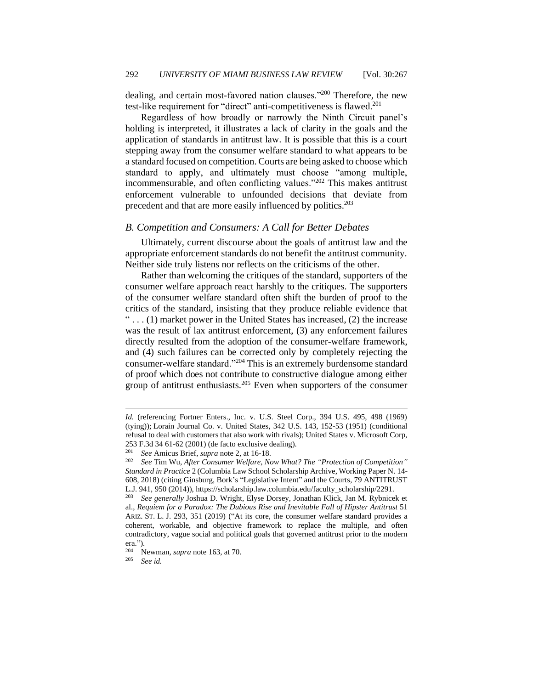dealing, and certain most-favored nation clauses."<sup>200</sup> Therefore, the new test-like requirement for "direct" anti-competitiveness is flawed.<sup>201</sup>

Regardless of how broadly or narrowly the Ninth Circuit panel's holding is interpreted, it illustrates a lack of clarity in the goals and the application of standards in antitrust law. It is possible that this is a court stepping away from the consumer welfare standard to what appears to be a standard focused on competition. Courts are being asked to choose which standard to apply, and ultimately must choose "among multiple, incommensurable, and often conflicting values."<sup>202</sup> This makes antitrust enforcement vulnerable to unfounded decisions that deviate from precedent and that are more easily influenced by politics.<sup>203</sup>

#### <span id="page-26-0"></span>*B. Competition and Consumers: A Call for Better Debates*

Ultimately, current discourse about the goals of antitrust law and the appropriate enforcement standards do not benefit the antitrust community. Neither side truly listens nor reflects on the criticisms of the other.

Rather than welcoming the critiques of the standard, supporters of the consumer welfare approach react harshly to the critiques. The supporters of the consumer welfare standard often shift the burden of proof to the critics of the standard, insisting that they produce reliable evidence that  $\ldots$  (1) market power in the United States has increased, (2) the increase was the result of lax antitrust enforcement, (3) any enforcement failures directly resulted from the adoption of the consumer-welfare framework, and (4) such failures can be corrected only by completely rejecting the consumer-welfare standard."<sup>204</sup> This is an extremely burdensome standard of proof which does not contribute to constructive dialogue among either group of antitrust enthusiasts.<sup>205</sup> Even when supporters of the consumer

*Id.* (referencing Fortner Enters., Inc. v. U.S. Steel Corp., 394 U.S. 495, 498 (1969) (tying)); Lorain Journal Co. v. United States, 342 U.S. 143, 152-53 (1951) (conditional refusal to deal with customers that also work with rivals); United States v. Microsoft Corp, 253 F.3d 34 61-62 (2001) (de facto exclusive dealing).

<sup>201</sup> *See* Amicus Brief, *supra* note 2, at 16-18.

<sup>202</sup> *See* Tim Wu, *After Consumer Welfare, Now What? The "Protection of Competition" Standard in Practice* 2 (Columbia Law School Scholarship Archive, Working Paper N. 14- 608, 2018) (citing Ginsburg, Bork's "Legislative Intent" and the Courts, 79 ANTITRUST L.J. 941, 950 (2014)), https://scholarship.law.columbia.edu/faculty\_scholarship/2291.

<sup>203</sup> *See generally* Joshua D. Wright, Elyse Dorsey, Jonathan Klick, Jan M. Rybnicek et al., *Requiem for a Paradox: The Dubious Rise and Inevitable Fall of Hipster Antitrust* 51 ARIZ. ST. L. J. 293, 351 (2019) ("At its core, the consumer welfare standard provides a coherent, workable, and objective framework to replace the multiple, and often contradictory, vague social and political goals that governed antitrust prior to the modern era.").

<sup>204</sup> Newman, *supra* note 163, at 70.

<sup>205</sup> *See id.*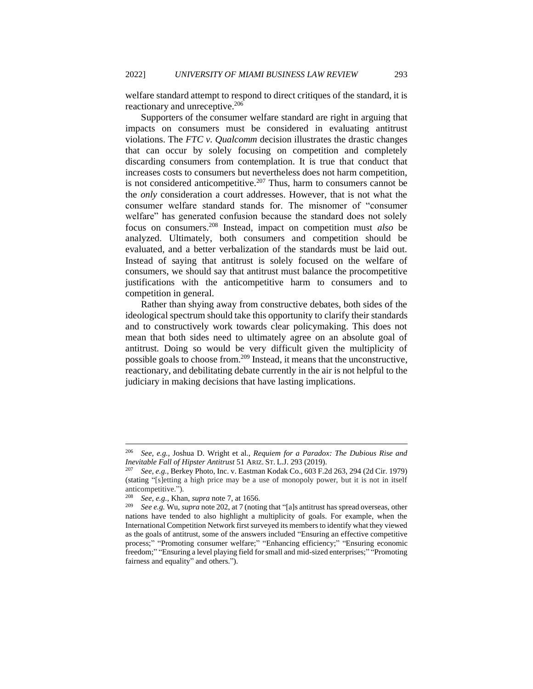welfare standard attempt to respond to direct critiques of the standard, it is reactionary and unreceptive.<sup>206</sup>

Supporters of the consumer welfare standard are right in arguing that impacts on consumers must be considered in evaluating antitrust violations. The *FTC v. Qualcomm* decision illustrates the drastic changes that can occur by solely focusing on competition and completely discarding consumers from contemplation. It is true that conduct that increases costs to consumers but nevertheless does not harm competition, is not considered anticompetitive.<sup>207</sup> Thus, harm to consumers cannot be the *only* consideration a court addresses. However, that is not what the consumer welfare standard stands for. The misnomer of "consumer welfare" has generated confusion because the standard does not solely focus on consumers.<sup>208</sup> Instead, impact on competition must *also* be analyzed. Ultimately, both consumers and competition should be evaluated, and a better verbalization of the standards must be laid out. Instead of saying that antitrust is solely focused on the welfare of consumers, we should say that antitrust must balance the procompetitive justifications with the anticompetitive harm to consumers and to competition in general.

Rather than shying away from constructive debates, both sides of the ideological spectrum should take this opportunity to clarify their standards and to constructively work towards clear policymaking. This does not mean that both sides need to ultimately agree on an absolute goal of antitrust. Doing so would be very difficult given the multiplicity of possible goals to choose from.<sup>209</sup> Instead, it means that the unconstructive, reactionary, and debilitating debate currently in the air is not helpful to the judiciary in making decisions that have lasting implications.

<sup>206</sup> *See, e.g.*, Joshua D. Wright et al., *Requiem for a Paradox: The Dubious Rise and Inevitable Fall of Hipster Antitrust* 51 ARIZ. ST. L.J. 293 (2019).

<sup>207</sup> *See, e.g.*, Berkey Photo, Inc. v. Eastman Kodak Co., 603 F.2d 263, 294 (2d Cir. 1979) (stating "[s]etting a high price may be a use of monopoly power, but it is not in itself anticompetitive.").

<sup>208</sup> *See, e.g.*, Khan, *supra* note 7, at 1656.

<sup>209</sup> *See e.g.* Wu, *supra* note 202, at 7 (noting that "[a]s antitrust has spread overseas, other nations have tended to also highlight a multiplicity of goals. For example, when the International Competition Network first surveyed its members to identify what they viewed as the goals of antitrust, some of the answers included "Ensuring an effective competitive process;" "Promoting consumer welfare;" "Enhancing efficiency;" "Ensuring economic freedom;" "Ensuring a level playing field for small and mid-sized enterprises;" "Promoting fairness and equality" and others.").